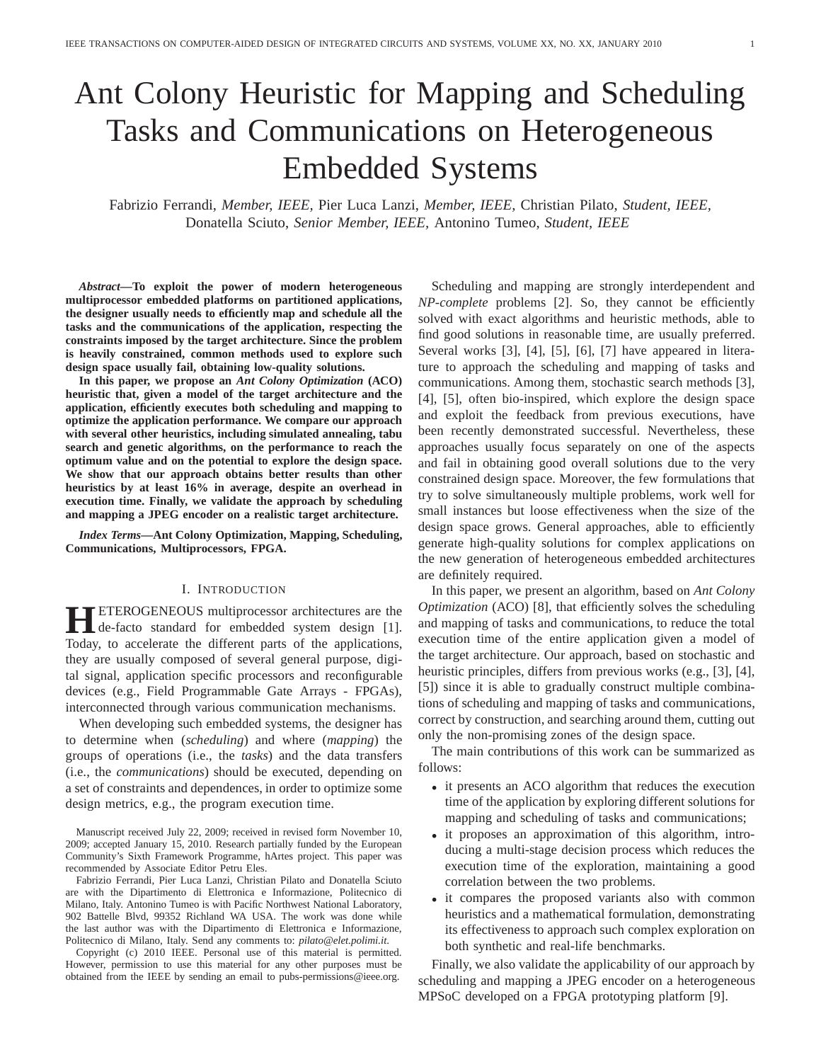# Ant Colony Heuristic for Mapping and Scheduling Tasks and Communications on Heterogeneous Embedded Systems

Fabrizio Ferrandi, *Member, IEEE,* Pier Luca Lanzi, *Member, IEEE,* Christian Pilato, *Student, IEEE,* Donatella Sciuto, *Senior Member, IEEE,* Antonino Tumeo, *Student, IEEE*

*Abstract***—To exploit the power of modern heterogeneous multiprocessor embedded platforms on partitioned applications, the designer usually needs to efficiently map and schedule all the tasks and the communications of the application, respecting the constraints imposed by the target architecture. Since the problem is heavily constrained, common methods used to explore such design space usually fail, obtaining low-quality solutions.**

**In this paper, we propose an** *Ant Colony Optimization* **(ACO) heuristic that, given a model of the target architecture and the application, efficiently executes both scheduling and mapping to optimize the application performance. We compare our approach with several other heuristics, including simulated annealing, tabu search and genetic algorithms, on the performance to reach the optimum value and on the potential to explore the design space. We show that our approach obtains better results than other heuristics by at least 16% in average, despite an overhead in execution time. Finally, we validate the approach by scheduling and mapping a JPEG encoder on a realistic target architecture.**

*Index Terms***—Ant Colony Optimization, Mapping, Scheduling, Communications, Multiprocessors, FPGA.**

## I. INTRODUCTION

**HU** ETEROGENEOUS multiprocessor architectures are the de-facto standard for embedded system design [1]. Today, to accelerate the different parts of the applications, ETEROGENEOUS multiprocessor architectures are the de-facto standard for embedded system design [1]. they are usually composed of several general purpose, digital signal, application specific processors and reconfigurable devices (e.g., Field Programmable Gate Arrays - FPGAs), interconnected through various communication mechanisms.

When developing such embedded systems, the designer has to determine when (*scheduling*) and where (*mapping*) the groups of operations (i.e., the *tasks*) and the data transfers (i.e., the *communications*) should be executed, depending on a set of constraints and dependences, in order to optimize some design metrics, e.g., the program execution time.

Manuscript received July 22, 2009; received in revised form November 10, 2009; accepted January 15, 2010. Research partially funded by the European Community's Sixth Framework Programme, hArtes project. This paper was recommended by Associate Editor Petru Eles.

Fabrizio Ferrandi, Pier Luca Lanzi, Christian Pilato and Donatella Sciuto are with the Dipartimento di Elettronica e Informazione, Politecnico di Milano, Italy. Antonino Tumeo is with Pacific Northwest National Laboratory, 902 Battelle Blvd, 99352 Richland WA USA. The work was done while the last author was with the Dipartimento di Elettronica e Informazione, Politecnico di Milano, Italy. Send any comments to: *pilato@elet.polimi.it*.

Copyright (c) 2010 IEEE. Personal use of this material is permitted. However, permission to use this material for any other purposes must be obtained from the IEEE by sending an email to pubs-permissions@ieee.org.

Scheduling and mapping are strongly interdependent and *NP-complete* problems [2]. So, they cannot be efficiently solved with exact algorithms and heuristic methods, able to find good solutions in reasonable time, are usually preferred. Several works [3], [4], [5], [6], [7] have appeared in literature to approach the scheduling and mapping of tasks and communications. Among them, stochastic search methods [3], [4], [5], often bio-inspired, which explore the design space and exploit the feedback from previous executions, have been recently demonstrated successful. Nevertheless, these approaches usually focus separately on one of the aspects and fail in obtaining good overall solutions due to the very constrained design space. Moreover, the few formulations that try to solve simultaneously multiple problems, work well for small instances but loose effectiveness when the size of the design space grows. General approaches, able to efficiently generate high-quality solutions for complex applications on the new generation of heterogeneous embedded architectures are definitely required.

In this paper, we present an algorithm, based on *Ant Colony Optimization* (ACO) [8], that efficiently solves the scheduling and mapping of tasks and communications, to reduce the total execution time of the entire application given a model of the target architecture. Our approach, based on stochastic and heuristic principles, differs from previous works (e.g., [3], [4], [5]) since it is able to gradually construct multiple combinations of scheduling and mapping of tasks and communications, correct by construction, and searching around them, cutting out only the non-promising zones of the design space.

The main contributions of this work can be summarized as follows:

- it presents an ACO algorithm that reduces the execution time of the application by exploring different solutions for mapping and scheduling of tasks and communications;
- it proposes an approximation of this algorithm, introducing a multi-stage decision process which reduces the execution time of the exploration, maintaining a good correlation between the two problems.
- it compares the proposed variants also with common heuristics and a mathematical formulation, demonstrating its effectiveness to approach such complex exploration on both synthetic and real-life benchmarks.

Finally, we also validate the applicability of our approach by scheduling and mapping a JPEG encoder on a heterogeneous MPSoC developed on a FPGA prototyping platform [9].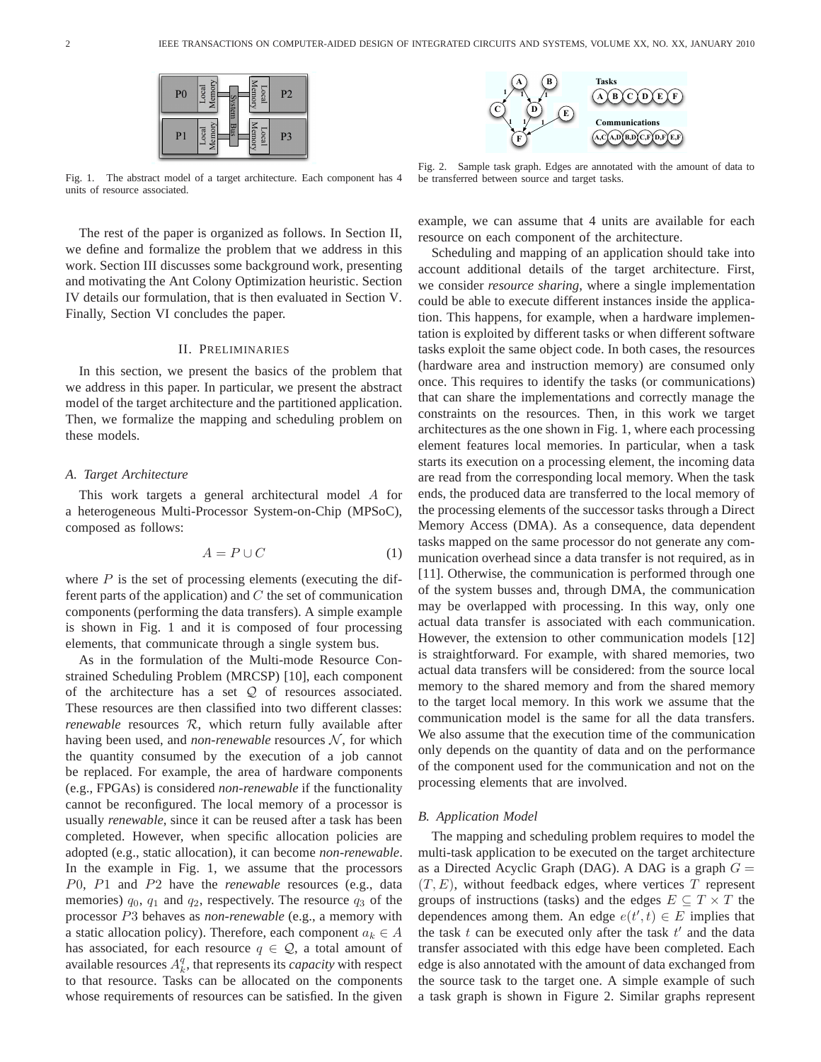

Fig. 1. The abstract model of a target architecture. Each component has 4 units of resource associated.

The rest of the paper is organized as follows. In Section II, we define and formalize the problem that we address in this work. Section III discusses some background work, presenting and motivating the Ant Colony Optimization heuristic. Section IV details our formulation, that is then evaluated in Section V. Finally, Section VI concludes the paper.

#### II. PRELIMINARIES

In this section, we present the basics of the problem that we address in this paper. In particular, we present the abstract model of the target architecture and the partitioned application. Then, we formalize the mapping and scheduling problem on these models.

#### *A. Target Architecture*

This work targets a general architectural model A for a heterogeneous Multi-Processor System-on-Chip (MPSoC), composed as follows:

$$
A = P \cup C \tag{1}
$$

where  $P$  is the set of processing elements (executing the different parts of the application) and  $C$  the set of communication components (performing the data transfers). A simple example is shown in Fig. 1 and it is composed of four processing elements, that communicate through a single system bus.

As in the formulation of the Multi-mode Resource Constrained Scheduling Problem (MRCSP) [10], each component of the architecture has a set  $Q$  of resources associated. These resources are then classified into two different classes: *renewable* resources R, which return fully available after having been used, and *non-renewable* resources  $N$ , for which the quantity consumed by the execution of a job cannot be replaced. For example, the area of hardware components (e.g., FPGAs) is considered *non-renewable* if the functionality cannot be reconfigured. The local memory of a processor is usually *renewable*, since it can be reused after a task has been completed. However, when specific allocation policies are adopted (e.g., static allocation), it can become *non-renewable*. In the example in Fig. 1, we assume that the processors P0, P1 and P2 have the *renewable* resources (e.g., data memories)  $q_0$ ,  $q_1$  and  $q_2$ , respectively. The resource  $q_3$  of the processor P3 behaves as *non-renewable* (e.g., a memory with a static allocation policy). Therefore, each component  $a_k \in A$ has associated, for each resource  $q \in \mathcal{Q}$ , a total amount of available resources  $A_k^q$ , that represents its *capacity* with respect to that resource. Tasks can be allocated on the components whose requirements of resources can be satisfied. In the given



Fig. 2. Sample task graph. Edges are annotated with the amount of data to be transferred between source and target tasks.

example, we can assume that 4 units are available for each resource on each component of the architecture.

Scheduling and mapping of an application should take into account additional details of the target architecture. First, we consider *resource sharing*, where a single implementation could be able to execute different instances inside the application. This happens, for example, when a hardware implementation is exploited by different tasks or when different software tasks exploit the same object code. In both cases, the resources (hardware area and instruction memory) are consumed only once. This requires to identify the tasks (or communications) that can share the implementations and correctly manage the constraints on the resources. Then, in this work we target architectures as the one shown in Fig. 1, where each processing element features local memories. In particular, when a task starts its execution on a processing element, the incoming data are read from the corresponding local memory. When the task ends, the produced data are transferred to the local memory of the processing elements of the successor tasks through a Direct Memory Access (DMA). As a consequence, data dependent tasks mapped on the same processor do not generate any communication overhead since a data transfer is not required, as in [11]. Otherwise, the communication is performed through one of the system busses and, through DMA, the communication may be overlapped with processing. In this way, only one actual data transfer is associated with each communication. However, the extension to other communication models [12] is straightforward. For example, with shared memories, two actual data transfers will be considered: from the source local memory to the shared memory and from the shared memory to the target local memory. In this work we assume that the communication model is the same for all the data transfers. We also assume that the execution time of the communication only depends on the quantity of data and on the performance of the component used for the communication and not on the processing elements that are involved.

#### *B. Application Model*

The mapping and scheduling problem requires to model the multi-task application to be executed on the target architecture as a Directed Acyclic Graph (DAG). A DAG is a graph  $G =$  $(T, E)$ , without feedback edges, where vertices T represent groups of instructions (tasks) and the edges  $E \subseteq T \times T$  the dependences among them. An edge  $e(t', t) \in E$  implies that the task  $t$  can be executed only after the task  $t'$  and the data transfer associated with this edge have been completed. Each edge is also annotated with the amount of data exchanged from the source task to the target one. A simple example of such a task graph is shown in Figure 2. Similar graphs represent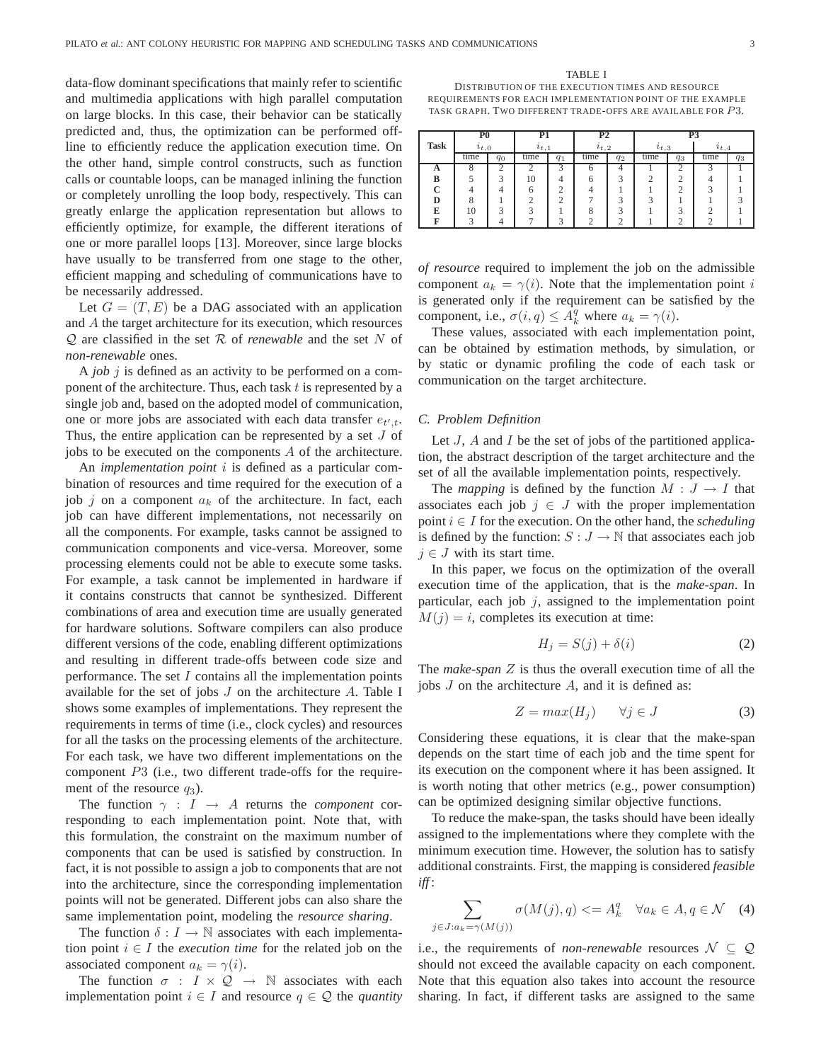data-flow dominant specifications that mainly refer to scientific and multimedia applications with high parallel computation on large blocks. In this case, their behavior can be statically predicted and, thus, the optimization can be performed offline to efficiently reduce the application execution time. On the other hand, simple control constructs, such as function calls or countable loops, can be managed inlining the function or completely unrolling the loop body, respectively. This can greatly enlarge the application representation but allows to efficiently optimize, for example, the different iterations of one or more parallel loops [13]. Moreover, since large blocks have usually to be transferred from one stage to the other, efficient mapping and scheduling of communications have to be necessarily addressed.

Let  $G = (T, E)$  be a DAG associated with an application and A the target architecture for its execution, which resources Q are classified in the set R of *renewable* and the set N of *non-renewable* ones.

A *job* j is defined as an activity to be performed on a component of the architecture. Thus, each task  $t$  is represented by a single job and, based on the adopted model of communication, one or more jobs are associated with each data transfer  $e_{t',t}$ . Thus, the entire application can be represented by a set  $J$  of jobs to be executed on the components A of the architecture.

An *implementation point* i is defined as a particular combination of resources and time required for the execution of a job  $j$  on a component  $a_k$  of the architecture. In fact, each job can have different implementations, not necessarily on all the components. For example, tasks cannot be assigned to communication components and vice-versa. Moreover, some processing elements could not be able to execute some tasks. For example, a task cannot be implemented in hardware if it contains constructs that cannot be synthesized. Different combinations of area and execution time are usually generated for hardware solutions. Software compilers can also produce different versions of the code, enabling different optimizations and resulting in different trade-offs between code size and performance. The set  $I$  contains all the implementation points available for the set of jobs  $J$  on the architecture  $A$ . Table I shows some examples of implementations. They represent the requirements in terms of time (i.e., clock cycles) and resources for all the tasks on the processing elements of the architecture. For each task, we have two different implementations on the component P3 (i.e., two different trade-offs for the requirement of the resource  $q_3$ ).

The function  $\gamma : I \rightarrow A$  returns the *component* corresponding to each implementation point. Note that, with this formulation, the constraint on the maximum number of components that can be used is satisfied by construction. In fact, it is not possible to assign a job to components that are not into the architecture, since the corresponding implementation points will not be generated. Different jobs can also share the same implementation point, modeling the *resource sharing*.

The function  $\delta : I \to \mathbb{N}$  associates with each implementation point  $i \in I$  the *execution time* for the related job on the associated component  $a_k = \gamma(i)$ .

The function  $\sigma : I \times Q \rightarrow \mathbb{N}$  associates with each implementation point  $i \in I$  and resource  $q \in \mathcal{Q}$  the *quantity* 

TABLE I DISTRIBUTION OF THE EXECUTION TIMES AND RESOURCE REQUIREMENTS FOR EACH IMPLEMENTATION POINT OF THE EXAMPLE TASK GRAPH. TWO DIFFERENT TRADE-OFFS ARE AVAILABLE FOR P3.

|             | P0        |    | P1        |                         | P <sub>2</sub> |       |           |       | <b>P3</b> |       |
|-------------|-----------|----|-----------|-------------------------|----------------|-------|-----------|-------|-----------|-------|
| <b>Task</b> | $i_{t,0}$ |    | $i_{t,1}$ |                         | $i_{t,2}$      |       | $i_{t,3}$ |       | $i_{t,4}$ |       |
|             | time      | qо | time      | $q_1$                   | time           | $q_2$ | time      | $q_3$ | time      | $q_3$ |
| A           |           |    |           | $\overline{\mathbf{a}}$ |                |       |           |       |           |       |
| B           |           |    | 10        |                         |                |       |           |       |           |       |
| C           |           |    |           |                         |                |       |           |       |           |       |
| D           |           |    |           | ◠                       |                |       |           |       |           |       |
| E           | 10        |    |           |                         |                |       |           |       |           |       |
| г           |           |    |           |                         |                |       |           |       |           |       |

*of resource* required to implement the job on the admissible component  $a_k = \gamma(i)$ . Note that the implementation point i is generated only if the requirement can be satisfied by the component, i.e.,  $\sigma(i, q) \leq A_k^q$  where  $a_k = \gamma(i)$ .

These values, associated with each implementation point, can be obtained by estimation methods, by simulation, or by static or dynamic profiling the code of each task or communication on the target architecture.

## *C. Problem Definition*

Let  $J$ ,  $A$  and  $I$  be the set of jobs of the partitioned application, the abstract description of the target architecture and the set of all the available implementation points, respectively.

The *mapping* is defined by the function  $M : J \to I$  that associates each job  $j \in J$  with the proper implementation point i ∈ I for the execution. On the other hand, the *scheduling* is defined by the function:  $S : J \to \mathbb{N}$  that associates each job  $j \in J$  with its start time.

In this paper, we focus on the optimization of the overall execution time of the application, that is the *make-span*. In particular, each job  $i$ , assigned to the implementation point  $M(j) = i$ , completes its execution at time:

$$
H_j = S(j) + \delta(i) \tag{2}
$$

The *make-span* Z is thus the overall execution time of all the jobs  $J$  on the architecture  $A$ , and it is defined as:

$$
Z = max(H_j) \qquad \forall j \in J \tag{3}
$$

Considering these equations, it is clear that the make-span depends on the start time of each job and the time spent for its execution on the component where it has been assigned. It is worth noting that other metrics (e.g., power consumption) can be optimized designing similar objective functions.

To reduce the make-span, the tasks should have been ideally assigned to the implementations where they complete with the minimum execution time. However, the solution has to satisfy additional constraints. First, the mapping is considered *feasible iff* :

$$
\sum_{j \in J: a_k = \gamma(M(j))} \sigma(M(j), q) \langle A_k^q \quad \forall a_k \in A, q \in \mathcal{N} \quad (4)
$$

i.e., the requirements of *non-renewable* resources  $\mathcal{N} \subseteq \mathcal{Q}$ should not exceed the available capacity on each component. Note that this equation also takes into account the resource sharing. In fact, if different tasks are assigned to the same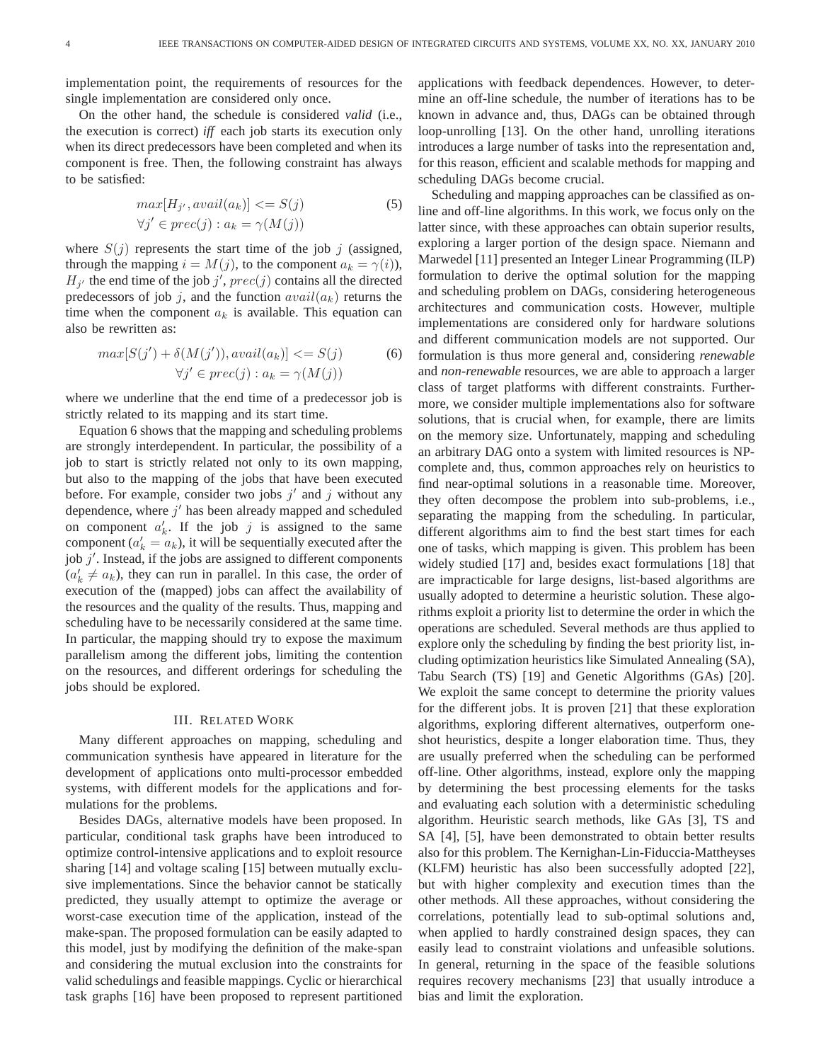implementation point, the requirements of resources for the single implementation are considered only once.

On the other hand, the schedule is considered *valid* (i.e., the execution is correct) *iff* each job starts its execution only when its direct predecessors have been completed and when its component is free. Then, the following constraint has always to be satisfied:

$$
max[H_{j'}, avail(a_k)] \leq S(j)
$$
  
\n
$$
\forall j' \in prec(j) : a_k = \gamma(M(j))
$$
\n(5)

where  $S(j)$  represents the start time of the job j (assigned, through the mapping  $i = M(j)$ , to the component  $a_k = \gamma(i)$ ),  $H_{j'}$  the end time of the job  $j'$ ,  $prec(j)$  contains all the directed predecessors of job j, and the function  $avail(a_k)$  returns the time when the component  $a_k$  is available. This equation can also be rewritten as:

$$
max[S(j') + \delta(M(j')), avail(a_k)] \leq S(j)
$$
  
\n
$$
\forall j' \in prec(j) : a_k = \gamma(M(j))
$$
\n(6)

where we underline that the end time of a predecessor job is strictly related to its mapping and its start time.

Equation 6 shows that the mapping and scheduling problems are strongly interdependent. In particular, the possibility of a job to start is strictly related not only to its own mapping, but also to the mapping of the jobs that have been executed before. For example, consider two jobs  $j'$  and  $j$  without any dependence, where  $j'$  has been already mapped and scheduled on component  $a'_k$ . If the job j is assigned to the same component  $(a'_k = a_k)$ , it will be sequentially executed after the job  $j'$ . Instead, if the jobs are assigned to different components  $(a'_k \neq a_k)$ , they can run in parallel. In this case, the order of execution of the (mapped) jobs can affect the availability of the resources and the quality of the results. Thus, mapping and scheduling have to be necessarily considered at the same time. In particular, the mapping should try to expose the maximum parallelism among the different jobs, limiting the contention on the resources, and different orderings for scheduling the jobs should be explored.

#### III. RELATED WORK

Many different approaches on mapping, scheduling and communication synthesis have appeared in literature for the development of applications onto multi-processor embedded systems, with different models for the applications and formulations for the problems.

Besides DAGs, alternative models have been proposed. In particular, conditional task graphs have been introduced to optimize control-intensive applications and to exploit resource sharing [14] and voltage scaling [15] between mutually exclusive implementations. Since the behavior cannot be statically predicted, they usually attempt to optimize the average or worst-case execution time of the application, instead of the make-span. The proposed formulation can be easily adapted to this model, just by modifying the definition of the make-span and considering the mutual exclusion into the constraints for valid schedulings and feasible mappings. Cyclic or hierarchical task graphs [16] have been proposed to represent partitioned applications with feedback dependences. However, to determine an off-line schedule, the number of iterations has to be known in advance and, thus, DAGs can be obtained through loop-unrolling [13]. On the other hand, unrolling iterations introduces a large number of tasks into the representation and, for this reason, efficient and scalable methods for mapping and scheduling DAGs become crucial.

Scheduling and mapping approaches can be classified as online and off-line algorithms. In this work, we focus only on the latter since, with these approaches can obtain superior results, exploring a larger portion of the design space. Niemann and Marwedel [11] presented an Integer Linear Programming (ILP) formulation to derive the optimal solution for the mapping and scheduling problem on DAGs, considering heterogeneous architectures and communication costs. However, multiple implementations are considered only for hardware solutions and different communication models are not supported. Our formulation is thus more general and, considering *renewable* and *non-renewable* resources, we are able to approach a larger class of target platforms with different constraints. Furthermore, we consider multiple implementations also for software solutions, that is crucial when, for example, there are limits on the memory size. Unfortunately, mapping and scheduling an arbitrary DAG onto a system with limited resources is NPcomplete and, thus, common approaches rely on heuristics to find near-optimal solutions in a reasonable time. Moreover, they often decompose the problem into sub-problems, i.e., separating the mapping from the scheduling. In particular, different algorithms aim to find the best start times for each one of tasks, which mapping is given. This problem has been widely studied [17] and, besides exact formulations [18] that are impracticable for large designs, list-based algorithms are usually adopted to determine a heuristic solution. These algorithms exploit a priority list to determine the order in which the operations are scheduled. Several methods are thus applied to explore only the scheduling by finding the best priority list, including optimization heuristics like Simulated Annealing (SA), Tabu Search (TS) [19] and Genetic Algorithms (GAs) [20]. We exploit the same concept to determine the priority values for the different jobs. It is proven [21] that these exploration algorithms, exploring different alternatives, outperform oneshot heuristics, despite a longer elaboration time. Thus, they are usually preferred when the scheduling can be performed off-line. Other algorithms, instead, explore only the mapping by determining the best processing elements for the tasks and evaluating each solution with a deterministic scheduling algorithm. Heuristic search methods, like GAs [3], TS and SA [4], [5], have been demonstrated to obtain better results also for this problem. The Kernighan-Lin-Fiduccia-Mattheyses (KLFM) heuristic has also been successfully adopted [22], but with higher complexity and execution times than the other methods. All these approaches, without considering the correlations, potentially lead to sub-optimal solutions and, when applied to hardly constrained design spaces, they can easily lead to constraint violations and unfeasible solutions. In general, returning in the space of the feasible solutions requires recovery mechanisms [23] that usually introduce a bias and limit the exploration.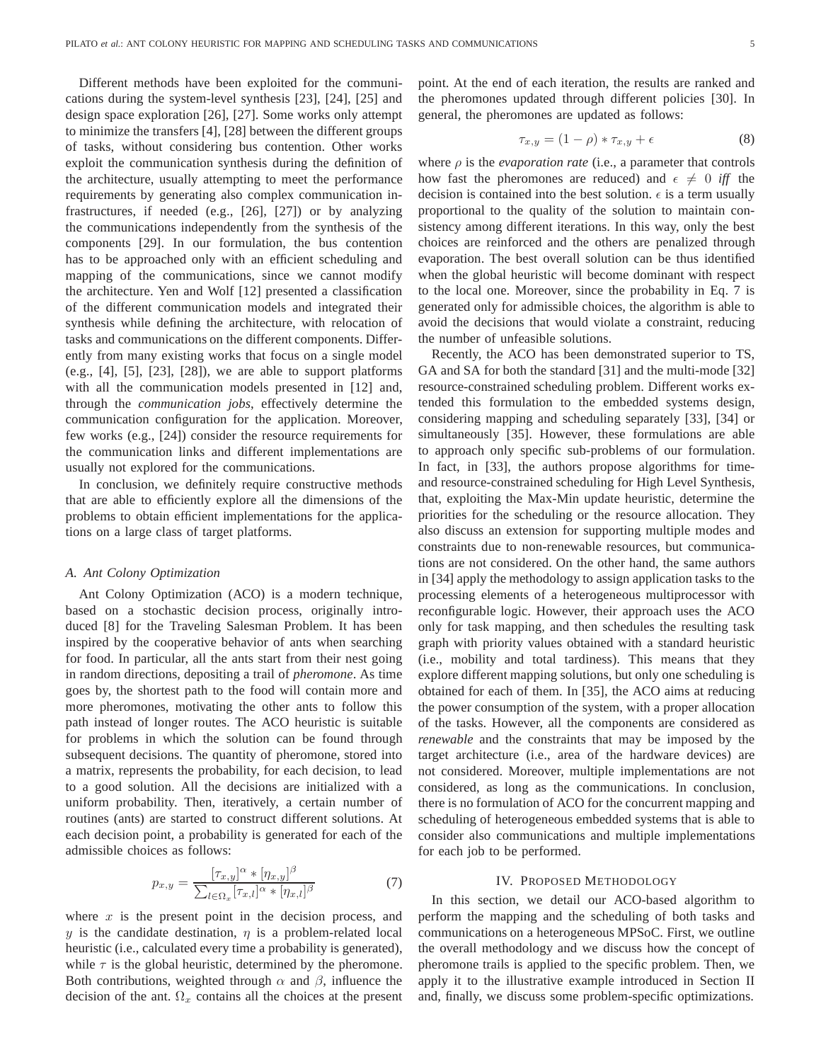Different methods have been exploited for the communications during the system-level synthesis [23], [24], [25] and design space exploration [26], [27]. Some works only attempt to minimize the transfers [4], [28] between the different groups of tasks, without considering bus contention. Other works exploit the communication synthesis during the definition of the architecture, usually attempting to meet the performance requirements by generating also complex communication infrastructures, if needed (e.g., [26], [27]) or by analyzing the communications independently from the synthesis of the components [29]. In our formulation, the bus contention has to be approached only with an efficient scheduling and mapping of the communications, since we cannot modify the architecture. Yen and Wolf [12] presented a classification of the different communication models and integrated their synthesis while defining the architecture, with relocation of tasks and communications on the different components. Differently from many existing works that focus on a single model (e.g.,  $[4]$ ,  $[5]$ ,  $[23]$ ,  $[28]$ ), we are able to support platforms with all the communication models presented in [12] and, through the *communication jobs*, effectively determine the communication configuration for the application. Moreover, few works (e.g., [24]) consider the resource requirements for the communication links and different implementations are usually not explored for the communications.

In conclusion, we definitely require constructive methods that are able to efficiently explore all the dimensions of the problems to obtain efficient implementations for the applications on a large class of target platforms.

## *A. Ant Colony Optimization*

Ant Colony Optimization (ACO) is a modern technique, based on a stochastic decision process, originally introduced [8] for the Traveling Salesman Problem. It has been inspired by the cooperative behavior of ants when searching for food. In particular, all the ants start from their nest going in random directions, depositing a trail of *pheromone*. As time goes by, the shortest path to the food will contain more and more pheromones, motivating the other ants to follow this path instead of longer routes. The ACO heuristic is suitable for problems in which the solution can be found through subsequent decisions. The quantity of pheromone, stored into a matrix, represents the probability, for each decision, to lead to a good solution. All the decisions are initialized with a uniform probability. Then, iteratively, a certain number of routines (ants) are started to construct different solutions. At each decision point, a probability is generated for each of the admissible choices as follows:

$$
p_{x,y} = \frac{[\tau_{x,y}]^{\alpha} * [\eta_{x,y}]^{\beta}}{\sum_{l \in \Omega_x} [\tau_{x,l}]^{\alpha} * [\eta_{x,l}]^{\beta}}
$$
(7)

where  $x$  is the present point in the decision process, and y is the candidate destination,  $\eta$  is a problem-related local heuristic (i.e., calculated every time a probability is generated), while  $\tau$  is the global heuristic, determined by the pheromone. Both contributions, weighted through  $\alpha$  and  $\beta$ , influence the decision of the ant.  $\Omega_x$  contains all the choices at the present

point. At the end of each iteration, the results are ranked and the pheromones updated through different policies [30]. In general, the pheromones are updated as follows:

$$
\tau_{x,y} = (1 - \rho) * \tau_{x,y} + \epsilon \tag{8}
$$

where  $\rho$  is the *evaporation rate* (i.e., a parameter that controls how fast the pheromones are reduced) and  $\epsilon \neq 0$  *iff* the decision is contained into the best solution.  $\epsilon$  is a term usually proportional to the quality of the solution to maintain consistency among different iterations. In this way, only the best choices are reinforced and the others are penalized through evaporation. The best overall solution can be thus identified when the global heuristic will become dominant with respect to the local one. Moreover, since the probability in Eq. 7 is generated only for admissible choices, the algorithm is able to avoid the decisions that would violate a constraint, reducing the number of unfeasible solutions.

Recently, the ACO has been demonstrated superior to TS, GA and SA for both the standard [31] and the multi-mode [32] resource-constrained scheduling problem. Different works extended this formulation to the embedded systems design, considering mapping and scheduling separately [33], [34] or simultaneously [35]. However, these formulations are able to approach only specific sub-problems of our formulation. In fact, in [33], the authors propose algorithms for timeand resource-constrained scheduling for High Level Synthesis, that, exploiting the Max-Min update heuristic, determine the priorities for the scheduling or the resource allocation. They also discuss an extension for supporting multiple modes and constraints due to non-renewable resources, but communications are not considered. On the other hand, the same authors in [34] apply the methodology to assign application tasks to the processing elements of a heterogeneous multiprocessor with reconfigurable logic. However, their approach uses the ACO only for task mapping, and then schedules the resulting task graph with priority values obtained with a standard heuristic (i.e., mobility and total tardiness). This means that they explore different mapping solutions, but only one scheduling is obtained for each of them. In [35], the ACO aims at reducing the power consumption of the system, with a proper allocation of the tasks. However, all the components are considered as *renewable* and the constraints that may be imposed by the target architecture (i.e., area of the hardware devices) are not considered. Moreover, multiple implementations are not considered, as long as the communications. In conclusion, there is no formulation of ACO for the concurrent mapping and scheduling of heterogeneous embedded systems that is able to consider also communications and multiple implementations for each job to be performed.

#### IV. PROPOSED METHODOLOGY

In this section, we detail our ACO-based algorithm to perform the mapping and the scheduling of both tasks and communications on a heterogeneous MPSoC. First, we outline the overall methodology and we discuss how the concept of pheromone trails is applied to the specific problem. Then, we apply it to the illustrative example introduced in Section II and, finally, we discuss some problem-specific optimizations.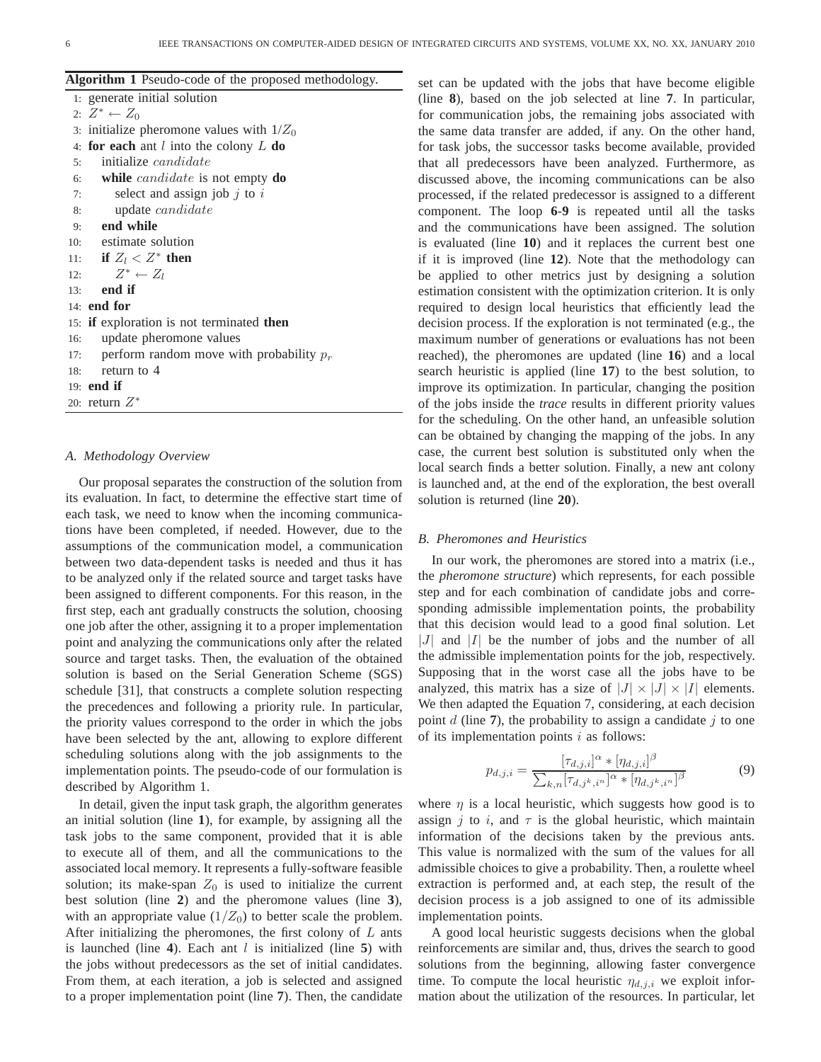| Algorithm 1 Pseudo-code of the proposed methodology. |  |
|------------------------------------------------------|--|
|------------------------------------------------------|--|

|    | 1: generate initial solution                            |
|----|---------------------------------------------------------|
|    | 2: $Z^* \leftarrow Z_0$                                 |
|    | 3: initialize pheromone values with $1/Z_0$             |
|    | 4: for each ant l into the colony L do                  |
| 5: | initialize <i>candidate</i>                             |
|    | 6: while <i>candidate</i> is not empty <b>do</b>        |
|    | select and assign job $j$ to $i$<br>7:                  |
|    | update <i>candidate</i><br>8:                           |
|    | 9: end while                                            |
|    | 10: estimate solution                                   |
|    | 11: if $Z_l < Z^*$ then                                 |
|    | 12: $Z^* \leftarrow Z_l$                                |
|    | $13:$ end if                                            |
|    | $14:$ end for                                           |
|    | 15: <b>if</b> exploration is not terminated <b>then</b> |
|    | 16: update pheromone values                             |
|    | 17: perform random move with probability $p_r$          |
|    | 18: return to $4$                                       |
|    | $19:$ end if                                            |
|    | 20: return $Z^*$                                        |
|    |                                                         |

## *A. Methodology Overview*

Our proposal separates the construction of the solution from its evaluation. In fact, to determine the effective start time of each task, we need to know when the incoming communications have been completed, if needed. However, due to the assumptions of the communication model, a communication between two data-dependent tasks is needed and thus it has to be analyzed only if the related source and target tasks have been assigned to different components. For this reason, in the first step, each ant gradually constructs the solution, choosing one job after the other, assigning it to a proper implementation point and analyzing the communications only after the related source and target tasks. Then, the evaluation of the obtained solution is based on the Serial Generation Scheme (SGS) schedule [31], that constructs a complete solution respecting the precedences and following a priority rule. In particular, the priority values correspond to the order in which the jobs have been selected by the ant, allowing to explore different scheduling solutions along with the job assignments to the implementation points. The pseudo-code of our formulation is described by Algorithm 1.

In detail, given the input task graph, the algorithm generates an initial solution (line **1**), for example, by assigning all the task jobs to the same component, provided that it is able to execute all of them, and all the communications to the associated local memory. It represents a fully-software feasible solution; its make-span  $Z_0$  is used to initialize the current best solution (line **2**) and the pheromone values (line **3**), with an appropriate value  $(1/Z_0)$  to better scale the problem. After initializing the pheromones, the first colony of  $L$  ants is launched (line **4**). Each ant l is initialized (line **5**) with the jobs without predecessors as the set of initial candidates. From them, at each iteration, a job is selected and assigned to a proper implementation point (line **7**). Then, the candidate

set can be updated with the jobs that have become eligible (line **8**), based on the job selected at line **7**. In particular, for communication jobs, the remaining jobs associated with the same data transfer are added, if any. On the other hand, for task jobs, the successor tasks become available, provided that all predecessors have been analyzed. Furthermore, as discussed above, the incoming communications can be also processed, if the related predecessor is assigned to a different component. The loop **6**-**9** is repeated until all the tasks and the communications have been assigned. The solution is evaluated (line **10**) and it replaces the current best one if it is improved (line **12**). Note that the methodology can be applied to other metrics just by designing a solution estimation consistent with the optimization criterion. It is only required to design local heuristics that efficiently lead the decision process. If the exploration is not terminated (e.g., the maximum number of generations or evaluations has not been reached), the pheromones are updated (line **16**) and a local search heuristic is applied (line **17**) to the best solution, to improve its optimization. In particular, changing the position of the jobs inside the *trace* results in different priority values for the scheduling. On the other hand, an unfeasible solution can be obtained by changing the mapping of the jobs. In any case, the current best solution is substituted only when the local search finds a better solution. Finally, a new ant colony is launched and, at the end of the exploration, the best overall solution is returned (line **20**).

## *B. Pheromones and Heuristics*

In our work, the pheromones are stored into a matrix (i.e., the *pheromone structure*) which represents, for each possible step and for each combination of candidate jobs and corresponding admissible implementation points, the probability that this decision would lead to a good final solution. Let  $|J|$  and  $|I|$  be the number of jobs and the number of all the admissible implementation points for the job, respectively. Supposing that in the worst case all the jobs have to be analyzed, this matrix has a size of  $|J| \times |J| \times |I|$  elements. We then adapted the Equation 7, considering, at each decision point  $d$  (line **7**), the probability to assign a candidate  $j$  to one of its implementation points  $i$  as follows:

$$
p_{d,j,i} = \frac{[\tau_{d,j,i}]^{\alpha} * [\eta_{d,j,i}]^{\beta}}{\sum_{k,n} [\tau_{d,j^k,i^n}]^{\alpha} * [\eta_{d,j^k,i^n}]^{\beta}}
$$
(9)

where  $\eta$  is a local heuristic, which suggests how good is to assign *j* to *i*, and  $\tau$  is the global heuristic, which maintain information of the decisions taken by the previous ants. This value is normalized with the sum of the values for all admissible choices to give a probability. Then, a roulette wheel extraction is performed and, at each step, the result of the decision process is a job assigned to one of its admissible implementation points.

A good local heuristic suggests decisions when the global reinforcements are similar and, thus, drives the search to good solutions from the beginning, allowing faster convergence time. To compute the local heuristic  $\eta_{d,j,i}$  we exploit information about the utilization of the resources. In particular, let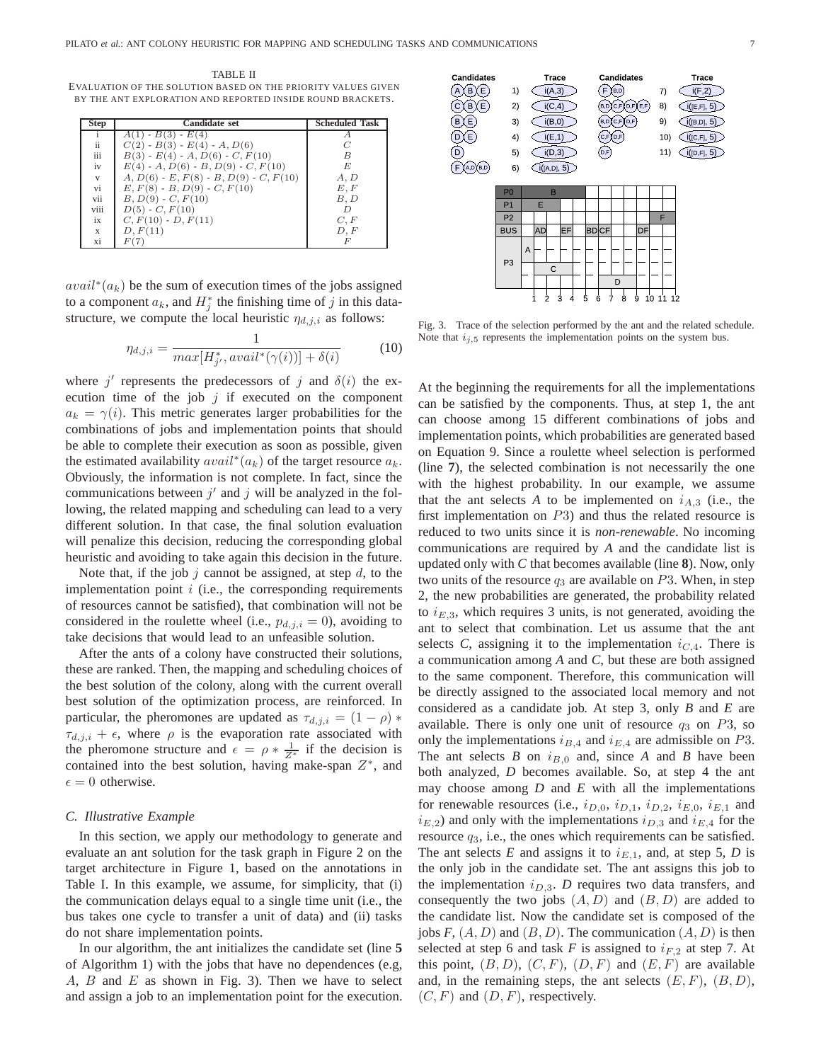TABLE II EVALUATION OF THE SOLUTION BASED ON THE PRIORITY VALUES GIVEN BY THE ANT EXPLORATION AND REPORTED INSIDE ROUND BRACKETS.

| <b>Step</b> | <b>Candidate set</b>                     | <b>Scheduled Task</b> |
|-------------|------------------------------------------|-----------------------|
|             | $- B(3) - E(4)$                          |                       |
| ii          | $C(2) - B(3) - E(4) - A, D(6)$           | C                     |
| iii         | $B(3) - E(4) - A$ , $D(6) - C$ , $F(10)$ | B                     |
| iv          | $E(4) - A, D(6) - B, D(9) - C, F(10)$    | E                     |
| $\bar{V}$   | $A, D(6) - E, F(8) - B, D(9) - C, F(10)$ | A, D                  |
| vi          | $E, F(8) - B, D(9) - C, F(10)$           | E, F                  |
| vii         | $B, D(9)$ - $C, F(10)$                   | B, D                  |
| viii        | $D(5)$ - $C, F(10)$                      | D                     |
| ix          | $C, F(10) - D, F(11)$                    | C, F                  |
| $\bar{X}$   | D, F(11)                                 | D, F                  |
| xi          |                                          | F                     |

 $avail^*(a_k)$  be the sum of execution times of the jobs assigned to a component  $a_k$ , and  $H_j^*$  the finishing time of j in this datastructure, we compute the local heuristic  $\eta_{d,j,i}$  as follows:

$$
\eta_{d,j,i} = \frac{1}{\max[H_{j'}^*,avail^*(\gamma(i))] + \delta(i)} \tag{10}
$$

where  $j'$  represents the predecessors of j and  $\delta(i)$  the execution time of the job  $j$  if executed on the component  $a_k = \gamma(i)$ . This metric generates larger probabilities for the combinations of jobs and implementation points that should be able to complete their execution as soon as possible, given the estimated availability  $avail^*(a_k)$  of the target resource  $a_k$ . Obviously, the information is not complete. In fact, since the communications between  $j'$  and  $j$  will be analyzed in the following, the related mapping and scheduling can lead to a very different solution. In that case, the final solution evaluation will penalize this decision, reducing the corresponding global heuristic and avoiding to take again this decision in the future.

Note that, if the job  $j$  cannot be assigned, at step  $d$ , to the implementation point  $i$  (i.e., the corresponding requirements of resources cannot be satisfied), that combination will not be considered in the roulette wheel (i.e.,  $p_{d,j,i} = 0$ ), avoiding to take decisions that would lead to an unfeasible solution.

After the ants of a colony have constructed their solutions, these are ranked. Then, the mapping and scheduling choices of the best solution of the colony, along with the current overall best solution of the optimization process, are reinforced. In particular, the pheromones are updated as  $\tau_{d,j,i} = (1 - \rho) *$  $\tau_{d,j,i} + \epsilon$ , where  $\rho$  is the evaporation rate associated with the pheromone structure and  $\epsilon = \rho * \frac{1}{Z^*}$  if the decision is contained into the best solution, having make-span  $Z^*$ , and  $\epsilon = 0$  otherwise.

## *C. Illustrative Example*

In this section, we apply our methodology to generate and evaluate an ant solution for the task graph in Figure 2 on the target architecture in Figure 1, based on the annotations in Table I. In this example, we assume, for simplicity, that (i) the communication delays equal to a single time unit (i.e., the bus takes one cycle to transfer a unit of data) and (ii) tasks do not share implementation points.

In our algorithm, the ant initializes the candidate set (line **5** of Algorithm 1) with the jobs that have no dependences (e.g,  $A, B$  and  $E$  as shown in Fig. 3). Then we have to select and assign a job to an implementation point for the execution.



Fig. 3. Trace of the selection performed by the ant and the related schedule. Note that  $i_{j,5}$  represents the implementation points on the system bus.

At the beginning the requirements for all the implementations can be satisfied by the components. Thus, at step 1, the ant can choose among 15 different combinations of jobs and implementation points, which probabilities are generated based on Equation 9. Since a roulette wheel selection is performed (line **7**), the selected combination is not necessarily the one with the highest probability. In our example, we assume that the ant selects  $A$  to be implemented on  $i_{A,3}$  (i.e., the first implementation on  $P3$ ) and thus the related resource is reduced to two units since it is *non-renewable*. No incoming communications are required by *A* and the candidate list is updated only with *C* that becomes available (line **8**). Now, only two units of the resource  $q_3$  are available on P3. When, in step 2, the new probabilities are generated, the probability related to  $i_{E,3}$ , which requires 3 units, is not generated, avoiding the ant to select that combination. Let us assume that the ant selects *C*, assigning it to the implementation  $i_{C,4}$ . There is a communication among *A* and *C*, but these are both assigned to the same component. Therefore, this communication will be directly assigned to the associated local memory and not considered as a candidate job. At step 3, only *B* and *E* are available. There is only one unit of resource  $q_3$  on P3, so only the implementations  $i_{B,4}$  and  $i_{E,4}$  are admissible on P3. The ant selects *B* on  $i_{B,0}$  and, since *A* and *B* have been both analyzed, *D* becomes available. So, at step 4 the ant may choose among *D* and *E* with all the implementations for renewable resources (i.e.,  $i_{D,0}$ ,  $i_{D,1}$ ,  $i_{D,2}$ ,  $i_{E,0}$ ,  $i_{E,1}$  and  $i_{E,2}$ ) and only with the implementations  $i_{D,3}$  and  $i_{E,4}$  for the resource  $q_3$ , i.e., the ones which requirements can be satisfied. The ant selects  $E$  and assigns it to  $i_{E,1}$ , and, at step 5,  $D$  is the only job in the candidate set. The ant assigns this job to the implementation  $i_{D,3}$ . *D* requires two data transfers, and consequently the two jobs  $(A, D)$  and  $(B, D)$  are added to the candidate list. Now the candidate set is composed of the jobs  $F$ ,  $(A, D)$  and  $(B, D)$ . The communication  $(A, D)$  is then selected at step 6 and task  $F$  is assigned to  $i_{F,2}$  at step 7. At this point,  $(B, D)$ ,  $(C, F)$ ,  $(D, F)$  and  $(E, F)$  are available and, in the remaining steps, the ant selects  $(E, F)$ ,  $(B, D)$ ,  $(C, F)$  and  $(D, F)$ , respectively.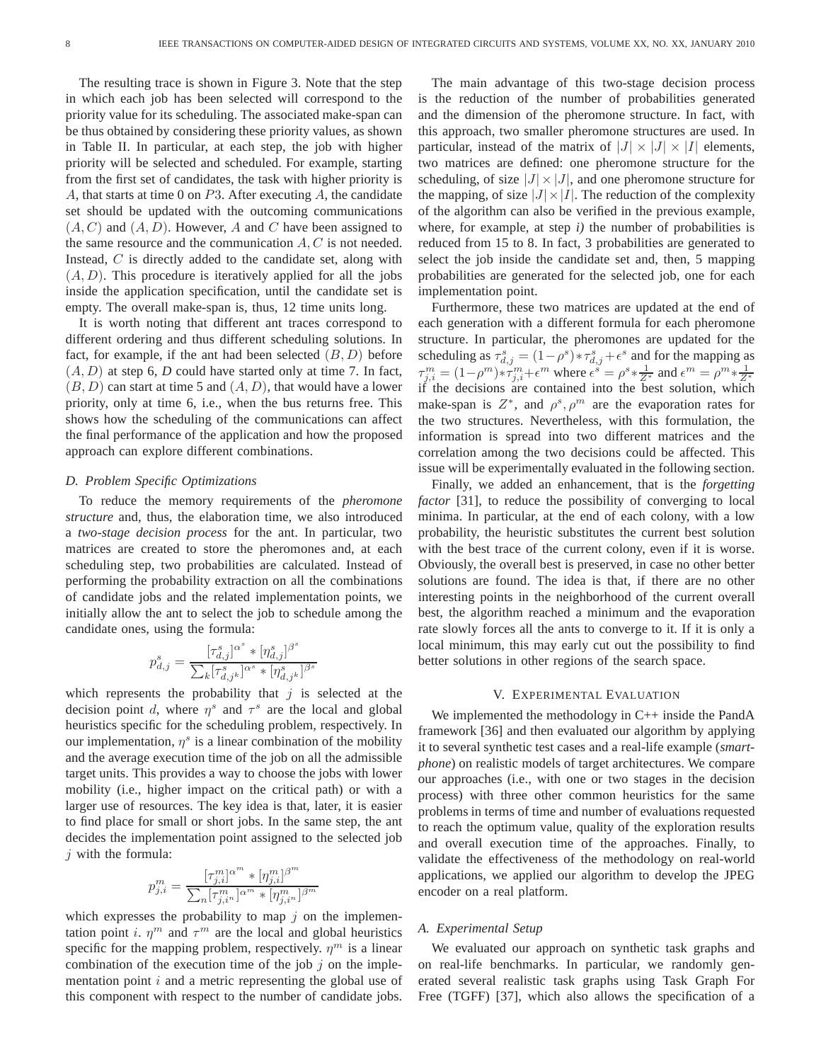The resulting trace is shown in Figure 3. Note that the step in which each job has been selected will correspond to the priority value for its scheduling. The associated make-span can be thus obtained by considering these priority values, as shown in Table II. In particular, at each step, the job with higher priority will be selected and scheduled. For example, starting from the first set of candidates, the task with higher priority is A, that starts at time 0 on  $P3$ . After executing A, the candidate set should be updated with the outcoming communications  $(A, C)$  and  $(A, D)$ . However, A and C have been assigned to the same resource and the communication  $A, C$  is not needed. Instead, C is directly added to the candidate set, along with  $(A, D)$ . This procedure is iteratively applied for all the jobs inside the application specification, until the candidate set is empty. The overall make-span is, thus, 12 time units long.

It is worth noting that different ant traces correspond to different ordering and thus different scheduling solutions. In fact, for example, if the ant had been selected  $(B, D)$  before  $(A, D)$  at step 6, *D* could have started only at time 7. In fact,  $(B, D)$  can start at time 5 and  $(A, D)$ , that would have a lower priority, only at time 6, i.e., when the bus returns free. This shows how the scheduling of the communications can affect the final performance of the application and how the proposed approach can explore different combinations.

## *D. Problem Specific Optimizations*

To reduce the memory requirements of the *pheromone structure* and, thus, the elaboration time, we also introduced a *two-stage decision process* for the ant. In particular, two matrices are created to store the pheromones and, at each scheduling step, two probabilities are calculated. Instead of performing the probability extraction on all the combinations of candidate jobs and the related implementation points, we initially allow the ant to select the job to schedule among the candidate ones, using the formula:

$$
p_{d,j}^s = \frac{[\tau_{d,j}^s]^{\alpha^s} * [\eta_{d,j}^s]^{\beta^s}}{\sum_{k} [\tau_{d,j^k}^s]^{\alpha^s} * [\eta_{d,j^k}^s]^{\beta^s}}
$$

which represents the probability that  $j$  is selected at the decision point d, where  $\eta^s$  and  $\tau^s$  are the local and global heuristics specific for the scheduling problem, respectively. In our implementation,  $\eta^s$  is a linear combination of the mobility and the average execution time of the job on all the admissible target units. This provides a way to choose the jobs with lower mobility (i.e., higher impact on the critical path) or with a larger use of resources. The key idea is that, later, it is easier to find place for small or short jobs. In the same step, the ant decides the implementation point assigned to the selected job  $i$  with the formula:

$$
p_{j,i}^m = \frac{[\tau_{j,i}^m]^{\alpha^m} * [\eta_{j,i}^m]^{\beta^m}}{\sum_n [\tau_{j,i}^m]^{\alpha^m} * [\eta_{j,i^n}^m]^{\beta^m}}
$$

which expresses the probability to map  $j$  on the implementation point i.  $\eta^m$  and  $\tau^m$  are the local and global heuristics specific for the mapping problem, respectively.  $\eta^m$  is a linear combination of the execution time of the job  $j$  on the implementation point  $i$  and a metric representing the global use of this component with respect to the number of candidate jobs.

The main advantage of this two-stage decision process is the reduction of the number of probabilities generated and the dimension of the pheromone structure. In fact, with this approach, two smaller pheromone structures are used. In particular, instead of the matrix of  $|J| \times |J| \times |I|$  elements, two matrices are defined: one pheromone structure for the scheduling, of size  $|J| \times |J|$ , and one pheromone structure for the mapping, of size  $|J| \times |I|$ . The reduction of the complexity of the algorithm can also be verified in the previous example, where, for example, at step  $i$ ) the number of probabilities is reduced from 15 to 8. In fact, 3 probabilities are generated to select the job inside the candidate set and, then, 5 mapping probabilities are generated for the selected job, one for each implementation point.

Furthermore, these two matrices are updated at the end of each generation with a different formula for each pheromone structure. In particular, the pheromones are updated for the scheduling as  $\tau_{d,j}^s = (1 - \rho^s) * \tau_{d,j}^s + \epsilon^s$  and for the mapping as  $\tau_{j,i}^m = (1 - \rho^m) * \tilde{\tau}_{j,i}^m + \epsilon^m$  where  $\epsilon^s = \rho^s * \frac{1}{Z^*}$  and  $\epsilon^m = \rho^m * \frac{1}{Z^*}$ if the decisions are contained into the best solution, which make-span is  $Z^*$ , and  $\rho^s$ ,  $\rho^m$  are the evaporation rates for the two structures. Nevertheless, with this formulation, the information is spread into two different matrices and the correlation among the two decisions could be affected. This issue will be experimentally evaluated in the following section.

Finally, we added an enhancement, that is the *forgetting factor* [31], to reduce the possibility of converging to local minima. In particular, at the end of each colony, with a low probability, the heuristic substitutes the current best solution with the best trace of the current colony, even if it is worse. Obviously, the overall best is preserved, in case no other better solutions are found. The idea is that, if there are no other interesting points in the neighborhood of the current overall best, the algorithm reached a minimum and the evaporation rate slowly forces all the ants to converge to it. If it is only a local minimum, this may early cut out the possibility to find better solutions in other regions of the search space.

## V. EXPERIMENTAL EVALUATION

We implemented the methodology in C++ inside the PandA framework [36] and then evaluated our algorithm by applying it to several synthetic test cases and a real-life example (*smartphone*) on realistic models of target architectures. We compare our approaches (i.e., with one or two stages in the decision process) with three other common heuristics for the same problems in terms of time and number of evaluations requested to reach the optimum value, quality of the exploration results and overall execution time of the approaches. Finally, to validate the effectiveness of the methodology on real-world applications, we applied our algorithm to develop the JPEG encoder on a real platform.

#### *A. Experimental Setup*

We evaluated our approach on synthetic task graphs and on real-life benchmarks. In particular, we randomly generated several realistic task graphs using Task Graph For Free (TGFF) [37], which also allows the specification of a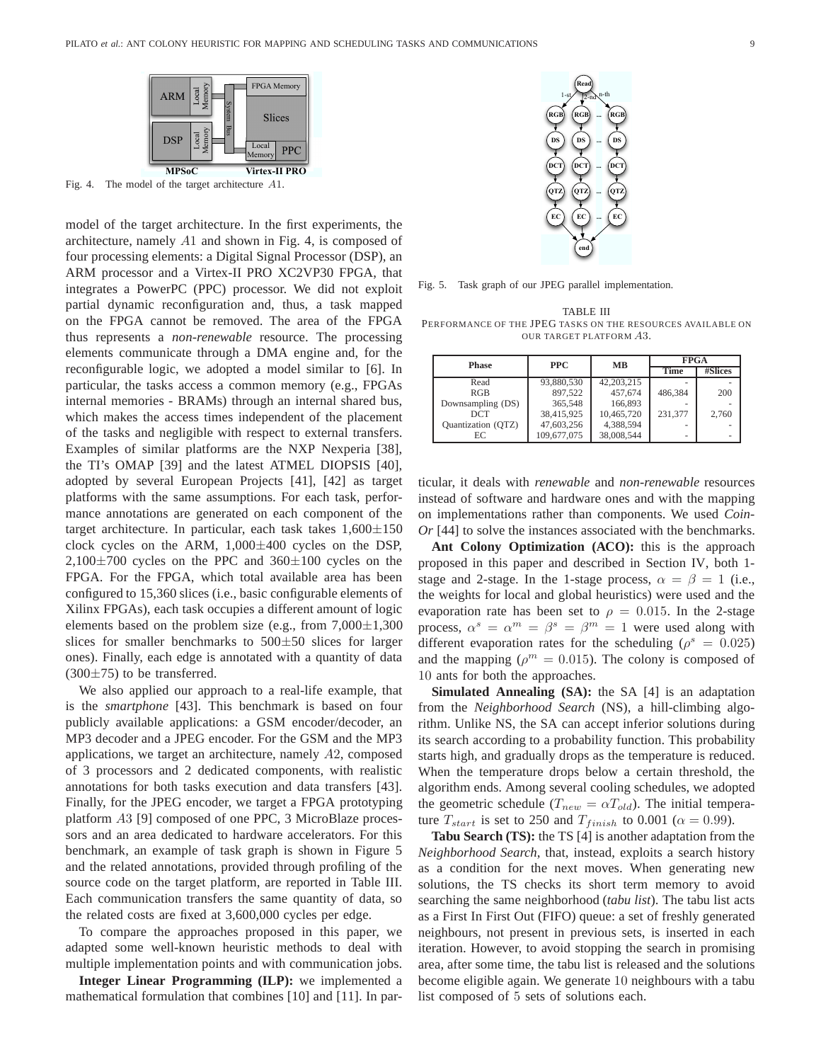

Fig. 4. The model of the target architecture A1.

model of the target architecture. In the first experiments, the architecture, namely A1 and shown in Fig. 4, is composed of four processing elements: a Digital Signal Processor (DSP), an ARM processor and a Virtex-II PRO XC2VP30 FPGA, that integrates a PowerPC (PPC) processor. We did not exploit partial dynamic reconfiguration and, thus, a task mapped on the FPGA cannot be removed. The area of the FPGA thus represents a *non-renewable* resource. The processing elements communicate through a DMA engine and, for the reconfigurable logic, we adopted a model similar to [6]. In particular, the tasks access a common memory (e.g., FPGAs internal memories - BRAMs) through an internal shared bus, which makes the access times independent of the placement of the tasks and negligible with respect to external transfers. Examples of similar platforms are the NXP Nexperia [38], the TI's OMAP [39] and the latest ATMEL DIOPSIS [40], adopted by several European Projects [41], [42] as target platforms with the same assumptions. For each task, performance annotations are generated on each component of the target architecture. In particular, each task takes  $1,600 \pm 150$ clock cycles on the ARM, 1,000±400 cycles on the DSP,  $2,100\pm700$  cycles on the PPC and  $360\pm100$  cycles on the FPGA. For the FPGA, which total available area has been configured to 15,360 slices (i.e., basic configurable elements of Xilinx FPGAs), each task occupies a different amount of logic elements based on the problem size (e.g., from  $7,000\pm1,300$ ) slices for smaller benchmarks to  $500\pm50$  slices for larger ones). Finally, each edge is annotated with a quantity of data  $(300\pm75)$  to be transferred.

We also applied our approach to a real-life example, that is the *smartphone* [43]. This benchmark is based on four publicly available applications: a GSM encoder/decoder, an MP3 decoder and a JPEG encoder. For the GSM and the MP3 applications, we target an architecture, namely A2, composed of 3 processors and 2 dedicated components, with realistic annotations for both tasks execution and data transfers [43]. Finally, for the JPEG encoder, we target a FPGA prototyping platform A3 [9] composed of one PPC, 3 MicroBlaze processors and an area dedicated to hardware accelerators. For this benchmark, an example of task graph is shown in Figure 5 and the related annotations, provided through profiling of the source code on the target platform, are reported in Table III. Each communication transfers the same quantity of data, so the related costs are fixed at 3,600,000 cycles per edge.

To compare the approaches proposed in this paper, we adapted some well-known heuristic methods to deal with multiple implementation points and with communication jobs.

**Integer Linear Programming (ILP):** we implemented a mathematical formulation that combines [10] and [11]. In par-



Fig. 5. Task graph of our JPEG parallel implementation.

TABLE III PERFORMANCE OF THE JPEG TASKS ON THE RESOURCES AVAILABLE ON OUR TARGET PLATFORM A3.

| <b>Phase</b>       | <b>PPC</b>  | MВ         | <b>FPGA</b> |                |  |
|--------------------|-------------|------------|-------------|----------------|--|
|                    |             |            | Time        | <b>#Slices</b> |  |
| Read               | 93,880,530  | 42,203,215 |             |                |  |
| RGB                | 897.522     | 457.674    | 486.384     | 200            |  |
| Downsampling (DS)  | 365,548     | 166,893    |             |                |  |
| <b>DCT</b>         | 38,415,925  | 10,465,720 | 231.377     | 2,760          |  |
| Quantization (QTZ) | 47,603,256  | 4,388,594  | -           |                |  |
| EС                 | 109,677,075 | 38,008,544 | ۰           |                |  |

ticular, it deals with *renewable* and *non-renewable* resources instead of software and hardware ones and with the mapping on implementations rather than components. We used *Coin-Or* [44] to solve the instances associated with the benchmarks.

**Ant Colony Optimization (ACO):** this is the approach proposed in this paper and described in Section IV, both 1 stage and 2-stage. In the 1-stage process,  $\alpha = \beta = 1$  (i.e., the weights for local and global heuristics) were used and the evaporation rate has been set to  $\rho = 0.015$ . In the 2-stage process,  $\alpha^s = \alpha^m = \beta^s = \beta^m = 1$  were used along with different evaporation rates for the scheduling ( $\rho^s = 0.025$ ) and the mapping ( $\rho^m = 0.015$ ). The colony is composed of 10 ants for both the approaches.

**Simulated Annealing (SA):** the SA [4] is an adaptation from the *Neighborhood Search* (NS), a hill-climbing algorithm. Unlike NS, the SA can accept inferior solutions during its search according to a probability function. This probability starts high, and gradually drops as the temperature is reduced. When the temperature drops below a certain threshold, the algorithm ends. Among several cooling schedules, we adopted the geometric schedule ( $T_{new} = \alpha T_{old}$ ). The initial temperature  $T_{start}$  is set to 250 and  $T_{finish}$  to 0.001 ( $\alpha = 0.99$ ).

**Tabu Search (TS):** the TS [4] is another adaptation from the *Neighborhood Search*, that, instead, exploits a search history as a condition for the next moves. When generating new solutions, the TS checks its short term memory to avoid searching the same neighborhood (*tabu list*). The tabu list acts as a First In First Out (FIFO) queue: a set of freshly generated neighbours, not present in previous sets, is inserted in each iteration. However, to avoid stopping the search in promising area, after some time, the tabu list is released and the solutions become eligible again. We generate 10 neighbours with a tabu list composed of 5 sets of solutions each.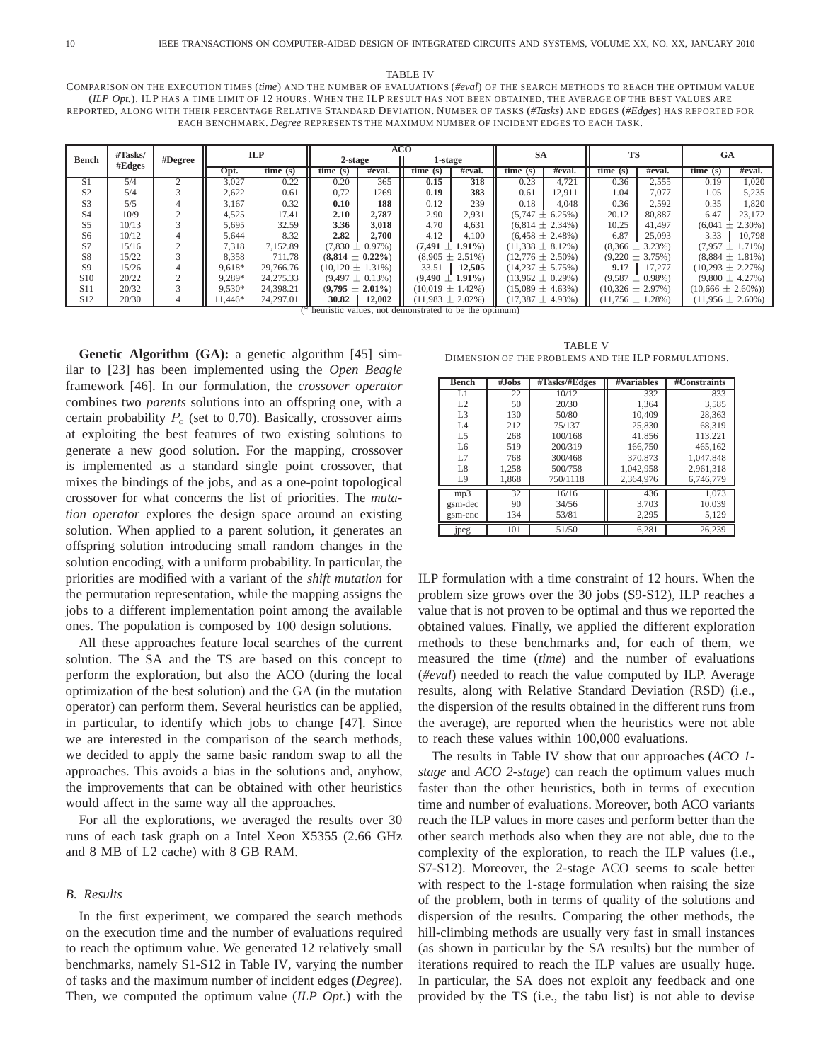#### TABLE IV

COMPARISON ON THE EXECUTION TIMES (*time*) AND THE NUMBER OF EVALUATIONS (*#eval*) OF THE SEARCH METHODS TO REACH THE OPTIMUM VALUE (*ILP Opt.*). ILP HAS A TIME LIMIT OF 12 HOURS. WHEN THE ILP RESULT HAS NOT BEEN OBTAINED, THE AVERAGE OF THE BEST VALUES ARE REPORTED, ALONG WITH THEIR PERCENTAGE RELATIVE STANDARD DEVIATION. NUMBER OF TASKS (*#Tasks*) AND EDGES (*#Edges*) HAS REPORTED FOR EACH BENCHMARK. *Degree* REPRESENTS THE MAXIMUM NUMBER OF INCIDENT EDGES TO EACH TASK.

|                 | $#T$ asks/        |  |          | <b>ILP</b>  |                       |                      | ACO                   |                      | <b>SA</b>             |                      | TS                    |                      | GA                    |                       |  |
|-----------------|-------------------|--|----------|-------------|-----------------------|----------------------|-----------------------|----------------------|-----------------------|----------------------|-----------------------|----------------------|-----------------------|-----------------------|--|
| Bench           | #Degree<br>#Edges |  |          |             |                       | 2-stage              |                       | 1-stage              |                       |                      |                       |                      |                       |                       |  |
|                 |                   |  | Opt.     | time(s)     | time(s)               | #eval.               | time(s)               | #eval.               | time(s)               | #eval.               | time(s)               | #eval.               | time(s)               | #eval.                |  |
| S1              | 5/4               |  | 3.027    | 0.22        | 0.20                  | 365                  | 0.15                  | 318                  | 0.23                  | 4.721                | 0.36                  | 2.555                | 0.19                  | 1.020                 |  |
| S <sub>2</sub>  | 5/4               |  | 2,622    | 0.61        | 0.72                  | 1269                 | 0.19                  | 383                  | 0.61                  | 12.911               | 1.04                  | 7.077                | 1.05                  | 5,235                 |  |
| S3              | 5/5               |  | 3.167    | 0.32        | 0.10                  | 188                  | 0.12                  | 239                  | 0.18                  | 4.048                | 0.36                  | 2.592                | 0.35                  | 1,820                 |  |
| S <sub>4</sub>  | 10/9              |  | 4,525    | 17.41       | 2.10                  | 2,787                | 2.90                  | 2,931                |                       | $(5,747 \pm 6.25\%)$ | 20.12                 | 80,887               | 6.47                  | 23,172                |  |
| S <sub>5</sub>  | 10/13             |  | 5.695    | 32.59       | 3.36                  | 3.018                | 4.70                  | 4.631                |                       | $(6,814 \pm 2.34\%)$ | 10.25                 | 41,497               | (6,041)               | $\pm 2.30\%$          |  |
| S6              | 10/12             |  | 5.644    | 8.32        | 2.82                  | 2.700                | 4.12                  | 4.100                |                       | $(6,458 \pm 2.48\%)$ | 6.87                  | 25,093               | 3.33                  | 10.798                |  |
| S7              | 15/16             |  | 7.318    | 7,152.89    |                       | $(7.830 \pm 0.97\%)$ | (7.491                | $\pm 1.91\%$         | $(11,338 \pm 8.12\%)$ |                      |                       | $(8,366 \pm 3.23\%)$ |                       | $(7.957 \pm 1.71\%)$  |  |
| S8              | 15/22             |  | 8.358    | 711.78      |                       | $(8,814 \pm 0.22\%)$ |                       | $(8.905 \pm 2.51\%)$ | $(12,776 \pm 2.50\%)$ |                      |                       | $(9.220 \pm 3.75\%)$ |                       | $(8,884 \pm 1.81\%)$  |  |
| S9              | 15/26             |  | 9.618*   | 29,766.76   | $(10.120 \pm 1.31\%)$ |                      | 33.51                 | 12,505               | $(14,237 \pm 5.75\%)$ |                      | 9.17                  | 17,277               |                       | $(10.293 \pm 2.27\%)$ |  |
| S <sub>10</sub> | 20/22             |  | 9.289*   | 24, 275. 33 |                       | $(9,497 \pm 0.13\%)$ |                       | $(9,490 \pm 1.91\%)$ | $(13,962 \pm 0.29\%)$ |                      |                       | $(9.587 \pm 0.98\%)$ |                       | $(9,800 \pm 4.27\%)$  |  |
| S <sub>11</sub> | 20/32             |  | $9.530*$ | 24.398.21   |                       | $(9.795 \pm 2.01\%)$ | $(10.019 \pm 1.42\%)$ |                      | $(15,089 \pm 4.63\%)$ |                      | $(10,326 \pm 2.97\%)$ |                      | $(10,666 \pm 2.60\%)$ |                       |  |
| S <sub>12</sub> | 20/30             |  | 11.446*  | 24,297.01   | 30.82                 | 12,002               | $(11,983 \pm 2.02\%)$ |                      | $(17,387 \pm 4.93\%)$ |                      | $(11,756 \pm 1.28\%)$ |                      |                       | $(11,956 \pm 2.60\%)$ |  |

(\* heuristic values, not demonstrated to be the optimum)

**Genetic Algorithm (GA):** a genetic algorithm [45] similar to [23] has been implemented using the *Open Beagle* framework [46]. In our formulation, the *crossover operator* combines two *parents* solutions into an offspring one, with a certain probability  $P_c$  (set to 0.70). Basically, crossover aims at exploiting the best features of two existing solutions to generate a new good solution. For the mapping, crossover is implemented as a standard single point crossover, that mixes the bindings of the jobs, and as a one-point topological crossover for what concerns the list of priorities. The *mutation operator* explores the design space around an existing solution. When applied to a parent solution, it generates an offspring solution introducing small random changes in the solution encoding, with a uniform probability. In particular, the priorities are modified with a variant of the *shift mutation* for the permutation representation, while the mapping assigns the jobs to a different implementation point among the available ones. The population is composed by 100 design solutions.

All these approaches feature local searches of the current solution. The SA and the TS are based on this concept to perform the exploration, but also the ACO (during the local optimization of the best solution) and the GA (in the mutation operator) can perform them. Several heuristics can be applied, in particular, to identify which jobs to change [47]. Since we are interested in the comparison of the search methods, we decided to apply the same basic random swap to all the approaches. This avoids a bias in the solutions and, anyhow, the improvements that can be obtained with other heuristics would affect in the same way all the approaches.

For all the explorations, we averaged the results over 30 runs of each task graph on a Intel Xeon X5355 (2.66 GHz and 8 MB of L2 cache) with 8 GB RAM.

# *B. Results*

In the first experiment, we compared the search methods on the execution time and the number of evaluations required to reach the optimum value. We generated 12 relatively small benchmarks, namely S1-S12 in Table IV, varying the number of tasks and the maximum number of incident edges (*Degree*). Then, we computed the optimum value (*ILP Opt.*) with the

TABLE V DIMENSION OF THE PROBLEMS AND THE ILP FORMULATIONS.

| <b>Bench</b>   | #Jobs | #Tasks/#Edges | #Variables | #Constraints |
|----------------|-------|---------------|------------|--------------|
| L1             | 22    | 10/12         | 332        | 833          |
| L <sub>2</sub> | 50    | 20/30         | 1.364      | 3.585        |
| L <sub>3</sub> | 130   | 50/80         | 10.409     | 28.363       |
| IA             | 212   | 75/137        | 25,830     | 68.319       |
| L <sub>5</sub> | 268   | 100/168       | 41,856     | 113.221      |
| L6             | 519   | 200/319       | 166,750    | 465,162      |
| L7             | 768   | 300/468       | 370,873    | 1.047.848    |
| L.8            | 1,258 | 500/758       | 1.042.958  | 2.961.318    |
| L <sub>9</sub> | 1,868 | 750/1118      | 2,364,976  | 6.746.779    |
| mp3            | 32    | 16/16         | 436        | 1.073        |
| gsm-dec        | 90    | 34/56         | 3.703      | 10.039       |
| gsm-enc        | 134   | 53/81         | 2.295      | 5.129        |
| <i>jpeg</i>    | 101   | 51/50         | 6.281      | 26.239       |

ILP formulation with a time constraint of 12 hours. When the problem size grows over the 30 jobs (S9-S12), ILP reaches a value that is not proven to be optimal and thus we reported the obtained values. Finally, we applied the different exploration methods to these benchmarks and, for each of them, we measured the time (*time*) and the number of evaluations (*#eval*) needed to reach the value computed by ILP. Average results, along with Relative Standard Deviation (RSD) (i.e., the dispersion of the results obtained in the different runs from the average), are reported when the heuristics were not able to reach these values within 100,000 evaluations.

The results in Table IV show that our approaches (*ACO 1 stage* and *ACO 2-stage*) can reach the optimum values much faster than the other heuristics, both in terms of execution time and number of evaluations. Moreover, both ACO variants reach the ILP values in more cases and perform better than the other search methods also when they are not able, due to the complexity of the exploration, to reach the ILP values (i.e., S7-S12). Moreover, the 2-stage ACO seems to scale better with respect to the 1-stage formulation when raising the size of the problem, both in terms of quality of the solutions and dispersion of the results. Comparing the other methods, the hill-climbing methods are usually very fast in small instances (as shown in particular by the SA results) but the number of iterations required to reach the ILP values are usually huge. In particular, the SA does not exploit any feedback and one provided by the TS (i.e., the tabu list) is not able to devise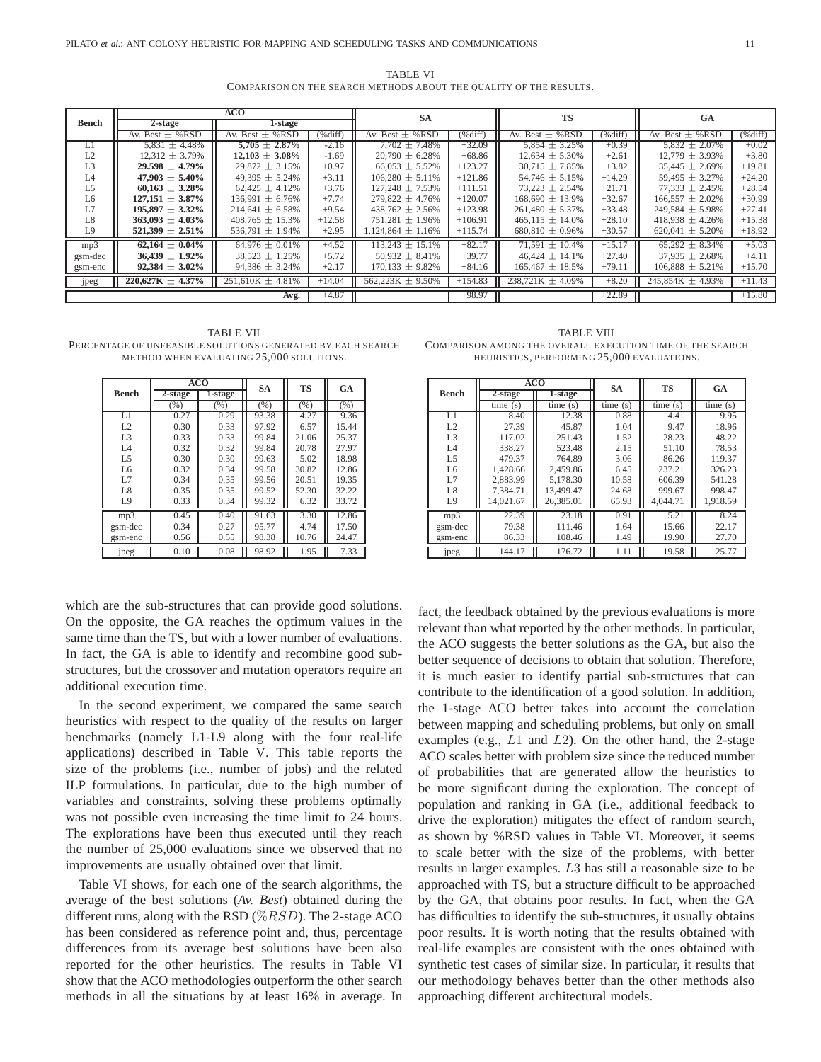|                |                                         | ACO                   |          | <b>SA</b>              |           | <b>TS</b>             |          | <b>GA</b>            |                 |
|----------------|-----------------------------------------|-----------------------|----------|------------------------|-----------|-----------------------|----------|----------------------|-----------------|
| <b>Bench</b>   | $2$ -stage                              | 1-stage               |          |                        |           |                       |          |                      |                 |
|                | Av. Best $\pm$ %RSD                     | Av. Best $\pm$ %RSD   | (%diff)  | Av. Best $\pm$ %RSD    | (%diff)   | Av. Best $\pm$ %RSD   | (%diff)  | Av. Best $\pm$ %RSD  | $\sqrt{\%diff}$ |
| L1             | 5,831 $\pm$ 4.48%                       | $5.705 \pm 2.87\%$    | $-2.16$  | $7,702 \pm 7.48\%$     | $+32.09$  | $5.854 \pm 3.25\%$    | $+0.39$  | $5,832 \pm 2.07\%$   | $+0.02$         |
| L2             | $12,312 \pm 3.79\%$                     | $12,103 \pm 3.08\%$   | $-1.69$  | $20,790 \pm 6.28\%$    | $+68.86$  | $12.634 \pm 5.30\%$   | $+2.61$  | $12,779 \pm 3.93\%$  | $+3.80$         |
| L <sub>3</sub> | $29.598 \pm 4.79\%$                     | $29.872 \pm 3.15\%$   | $+0.97$  | $66,053 \pm 5.52\%$    | $+123.27$ | $30,715 \pm 7.85\%$   | $+3.82$  | $35,445 \pm 2.69\%$  | $+19.81$        |
| IA             | $47.903 \pm 5.40\%$                     | $49.395 \pm 5.24\%$   | $+3.11$  | $106,280 \pm 5.11\%$   | $+121.86$ | 54,746 $\pm$ 5.15%    | $+14.29$ | 59,495 $\pm$ 3.27%   | $+24.20$        |
| L <sub>5</sub> | $60,163 \pm 3.28\%$                     | $62,425 \pm 4.12\%$   | $+3.76$  | $127,248 \pm 7.53\%$   | $+111.51$ | $73,223 \pm 2.54\%$   | $+21.71$ | $77,333 \pm 2.45\%$  | $+28.54$        |
| L6             | $127.151 \pm 3.87\%$                    | $136.991 \pm 6.76\%$  | $+7.74$  | $279.822 \pm 4.76\%$   | $+120.07$ | $168,690 \pm 13.9\%$  | $+32.67$ | $166.557 \pm 2.02\%$ | $+30.99$        |
| L7             | $195,897 \pm 3.32\%$                    | $214,641 \pm 6.58\%$  | $+9.54$  | $438,762 \pm 2.56\%$   | $+123.98$ | $261,480 \pm 5.37\%$  | $+33.48$ | 249,584 $\pm$ 5.98%  | $+27.41$        |
| L.8            | $363,093 \pm 4.03\%$                    | $408,765 \pm 15.3\%$  | $+12.58$ | $751,281 \pm 1.96\%$   | $+106.91$ | $465,115 \pm 14.0\%$  | $+28.10$ | $418,938 \pm 4.26\%$ | $+15.38$        |
| L9             | $521,399 \pm 2.51\%$                    | 536,791 $\pm$ 1.94%   | $+2.95$  | $1,124,864 \pm 1.16\%$ | $+115.74$ | $680,810 \pm 0.96\%$  | $+30.57$ | $620,041 \pm 5.20\%$ | $+18.92$        |
| mp3            | $62,164 \pm 0.04\%$                     | $64.976 \pm 0.01\%$   | $+4.52$  | $113.243 \pm 15.1\%$   | $+82.17$  | $71.591 \pm 10.4\%$   | $+15.17$ | $65,292 \pm 8.34\%$  | $+5.03$         |
| gsm-dec        | $36.439 \pm 1.92\%$                     | $38.523 \pm 1.25\%$   | $+5.72$  | $50,932 \pm 8.41\%$    | $+39.77$  | $46.424 \pm 14.1\%$   | $+27.40$ | $37,935 \pm 2.68\%$  | $+4.11$         |
| gsm-enc        | $92,384 \pm 3.02\%$                     | $94,386 \pm 3.24\%$   | $+2.17$  | $170,133 \pm 9.82\%$   | $+84.16$  | $165,467 \pm 18.5\%$  | $+79.11$ | $106,888 \pm 5.21\%$ | $+15.70$        |
| <i>j</i> peg   | $220,627\overline{\text{K}} \pm 4.37\%$ | $251.610K \pm 4.81\%$ | $+14.04$ | $562,223K \pm 9.50\%$  | $+154.83$ | $238.721K \pm 4.09\%$ | $+8.20$  | 245,854K $\pm$ 4.93% | $+11.43$        |
|                |                                         | Avg.                  | $+4.87$  |                        | $+98.97$  |                       | $+22.89$ |                      | $+15.80$        |

TABLE VII PERCENTAGE OF UNFEASIBLE SOLUTIONS GENERATED BY EACH SEARCH METHOD WHEN EVALUATING 25,000 SOLUTIONS.

|                | <b>ACO</b> |         | <b>SA</b> | <b>TS</b> | GA    |
|----------------|------------|---------|-----------|-----------|-------|
| <b>Bench</b>   | $2$ -stage | 1-stage |           |           |       |
|                | $(\%)$     | (%)     | $($ %)    | $(\%)$    | (%)   |
| L1             | 0.27       | 0.29    | 93.38     | 4.27      | 9.36  |
| L2             | 0.30       | 0.33    | 97.92     | 6.57      | 15.44 |
| L <sub>3</sub> | 0.33       | 0.33    | 99.84     | 21.06     | 25.37 |
| IA             | 0.32       | 0.32    | 99.84     | 20.78     | 27.97 |
| L <sub>5</sub> | 0.30       | 0.30    | 99.63     | 5.02      | 18.98 |
| L6             | 0.32       | 0.34    | 99.58     | 30.82     | 12.86 |
| L7             | 0.34       | 0.35    | 99.56     | 20.51     | 19.35 |
| L <sub>8</sub> | 0.35       | 0.35    | 99.52     | 52.30     | 32.22 |
| L9             | 0.33       | 0.34    | 99.32     | 6.32      | 33.72 |
| mp3            | 0.45       | 0.40    | 91.63     | 3.30      | 12.86 |
| gsm-dec        | 0.34       | 0.27    | 95.77     | 4.74      | 17.50 |
| gsm-enc        | 0.56       | 0.55    | 98.38     | 10.76     | 24.47 |
| <i>jpeg</i>    | 0.10       | 0.08    | 98.92     | 1.95      | 7.33  |

which are the sub-structures that can provide good solutions. On the opposite, the GA reaches the optimum values in the same time than the TS, but with a lower number of evaluations. In fact, the GA is able to identify and recombine good substructures, but the crossover and mutation operators require an additional execution time.

In the second experiment, we compared the same search heuristics with respect to the quality of the results on larger benchmarks (namely L1-L9 along with the four real-life applications) described in Table V. This table reports the size of the problems (i.e., number of jobs) and the related ILP formulations. In particular, due to the high number of variables and constraints, solving these problems optimally was not possible even increasing the time limit to 24 hours. The explorations have been thus executed until they reach the number of 25,000 evaluations since we observed that no improvements are usually obtained over that limit.

Table VI shows, for each one of the search algorithms, the average of the best solutions (*Av. Best*) obtained during the different runs, along with the RSD ( $\% RSD$ ). The 2-stage ACO has been considered as reference point and, thus, percentage differences from its average best solutions have been also reported for the other heuristics. The results in Table VI show that the ACO methodologies outperform the other search methods in all the situations by at least 16% in average. In

TABLE VIII COMPARISON AMONG THE OVERALL EXECUTION TIME OF THE SEARCH HEURISTICS, PERFORMING 25,000 EVALUATIONS.

|                | <b>ACO</b> |           | <b>SA</b> | <b>TS</b> | GA       |
|----------------|------------|-----------|-----------|-----------|----------|
| <b>Bench</b>   | 2-stage    | 1-stage   |           |           |          |
|                | time(s)    | time(s)   | time(s)   | time(s)   | time(s)  |
| L1             | 8.40       | 12.38     | 0.88      | 4.41      | 9.95     |
| L2             | 27.39      | 45.87     | 1.04      | 9.47      | 18.96    |
| L <sub>3</sub> | 117.02     | 251.43    | 1.52      | 28.23     | 48.22    |
| L4             | 338.27     | 523.48    | 2.15      | 51.10     | 78.53    |
| L <sub>5</sub> | 479.37     | 764.89    | 3.06      | 86.26     | 119.37   |
| L6             | 1.428.66   | 2,459.86  | 6.45      | 237.21    | 326.23   |
| L7             | 2.883.99   | 5,178.30  | 10.58     | 606.39    | 541.28   |
| L8             | 7.384.71   | 13.499.47 | 24.68     | 999.67    | 998.47   |
| L <sub>9</sub> | 14,021.67  | 26,385.01 | 65.93     | 4,044.71  | 1,918.59 |
| mp3            | 22.39      | 23.18     | 0.91      | 5.21      | 8.24     |
| gsm-dec        | 79.38      | 111.46    | 1.64      | 15.66     | 22.17    |
| gsm-enc        | 86.33      | 108.46    | 1.49      | 19.90     | 27.70    |
| <i>j</i> peg   | 144.17     | 176.72    | 1.11      | 19.58     | 25.77    |

fact, the feedback obtained by the previous evaluations is more relevant than what reported by the other methods. In particular, the ACO suggests the better solutions as the GA, but also the better sequence of decisions to obtain that solution. Therefore, it is much easier to identify partial sub-structures that can contribute to the identification of a good solution. In addition, the 1-stage ACO better takes into account the correlation between mapping and scheduling problems, but only on small examples (e.g.,  $L1$  and  $L2$ ). On the other hand, the 2-stage ACO scales better with problem size since the reduced number of probabilities that are generated allow the heuristics to be more significant during the exploration. The concept of population and ranking in GA (i.e., additional feedback to drive the exploration) mitigates the effect of random search, as shown by %RSD values in Table VI. Moreover, it seems to scale better with the size of the problems, with better results in larger examples. L3 has still a reasonable size to be approached with TS, but a structure difficult to be approached by the GA, that obtains poor results. In fact, when the GA has difficulties to identify the sub-structures, it usually obtains poor results. It is worth noting that the results obtained with real-life examples are consistent with the ones obtained with synthetic test cases of similar size. In particular, it results that our methodology behaves better than the other methods also approaching different architectural models.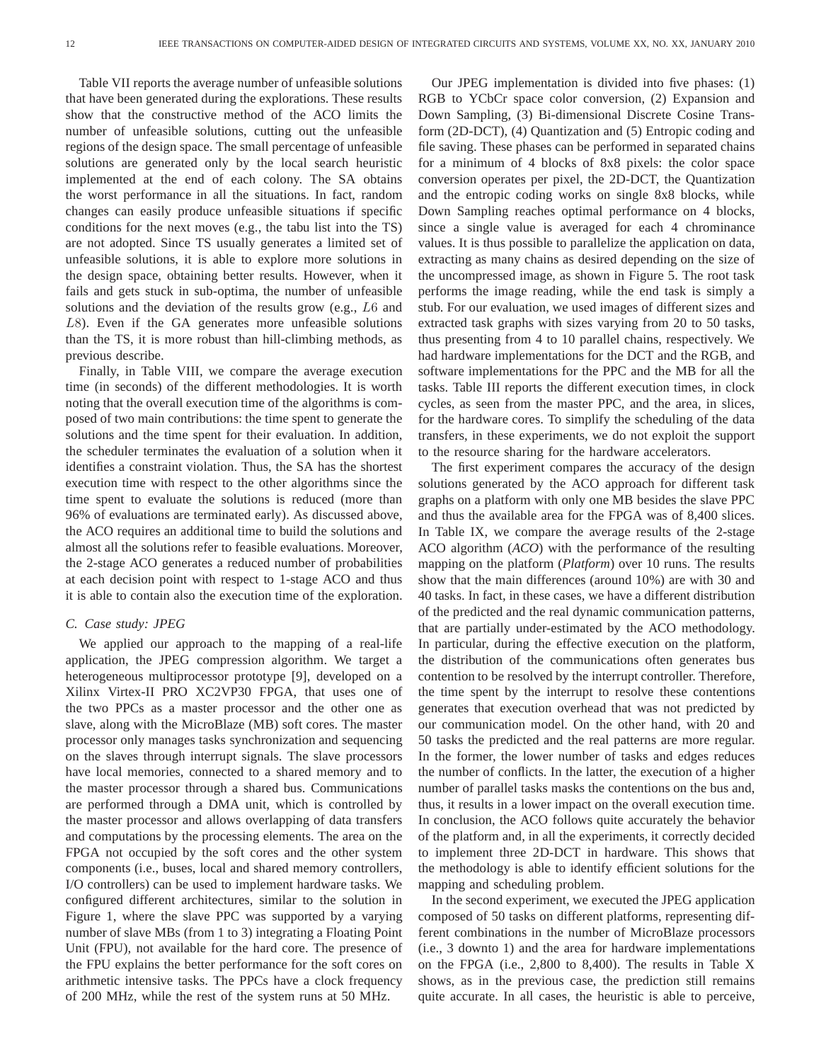Table VII reports the average number of unfeasible solutions that have been generated during the explorations. These results show that the constructive method of the ACO limits the number of unfeasible solutions, cutting out the unfeasible regions of the design space. The small percentage of unfeasible solutions are generated only by the local search heuristic implemented at the end of each colony. The SA obtains the worst performance in all the situations. In fact, random changes can easily produce unfeasible situations if specific conditions for the next moves (e.g., the tabu list into the TS) are not adopted. Since TS usually generates a limited set of unfeasible solutions, it is able to explore more solutions in the design space, obtaining better results. However, when it fails and gets stuck in sub-optima, the number of unfeasible solutions and the deviation of the results grow (e.g., L6 and L8). Even if the GA generates more unfeasible solutions than the TS, it is more robust than hill-climbing methods, as previous describe.

Finally, in Table VIII, we compare the average execution time (in seconds) of the different methodologies. It is worth noting that the overall execution time of the algorithms is composed of two main contributions: the time spent to generate the solutions and the time spent for their evaluation. In addition, the scheduler terminates the evaluation of a solution when it identifies a constraint violation. Thus, the SA has the shortest execution time with respect to the other algorithms since the time spent to evaluate the solutions is reduced (more than 96% of evaluations are terminated early). As discussed above, the ACO requires an additional time to build the solutions and almost all the solutions refer to feasible evaluations. Moreover, the 2-stage ACO generates a reduced number of probabilities at each decision point with respect to 1-stage ACO and thus it is able to contain also the execution time of the exploration.

#### *C. Case study: JPEG*

We applied our approach to the mapping of a real-life application, the JPEG compression algorithm. We target a heterogeneous multiprocessor prototype [9], developed on a Xilinx Virtex-II PRO XC2VP30 FPGA, that uses one of the two PPCs as a master processor and the other one as slave, along with the MicroBlaze (MB) soft cores. The master processor only manages tasks synchronization and sequencing on the slaves through interrupt signals. The slave processors have local memories, connected to a shared memory and to the master processor through a shared bus. Communications are performed through a DMA unit, which is controlled by the master processor and allows overlapping of data transfers and computations by the processing elements. The area on the FPGA not occupied by the soft cores and the other system components (i.e., buses, local and shared memory controllers, I/O controllers) can be used to implement hardware tasks. We configured different architectures, similar to the solution in Figure 1, where the slave PPC was supported by a varying number of slave MBs (from 1 to 3) integrating a Floating Point Unit (FPU), not available for the hard core. The presence of the FPU explains the better performance for the soft cores on arithmetic intensive tasks. The PPCs have a clock frequency of 200 MHz, while the rest of the system runs at 50 MHz.

Our JPEG implementation is divided into five phases: (1) RGB to YCbCr space color conversion, (2) Expansion and Down Sampling, (3) Bi-dimensional Discrete Cosine Transform (2D-DCT), (4) Quantization and (5) Entropic coding and file saving. These phases can be performed in separated chains for a minimum of 4 blocks of 8x8 pixels: the color space conversion operates per pixel, the 2D-DCT, the Quantization and the entropic coding works on single 8x8 blocks, while Down Sampling reaches optimal performance on 4 blocks, since a single value is averaged for each 4 chrominance values. It is thus possible to parallelize the application on data, extracting as many chains as desired depending on the size of the uncompressed image, as shown in Figure 5. The root task performs the image reading, while the end task is simply a stub. For our evaluation, we used images of different sizes and extracted task graphs with sizes varying from 20 to 50 tasks, thus presenting from 4 to 10 parallel chains, respectively. We had hardware implementations for the DCT and the RGB, and software implementations for the PPC and the MB for all the tasks. Table III reports the different execution times, in clock cycles, as seen from the master PPC, and the area, in slices, for the hardware cores. To simplify the scheduling of the data transfers, in these experiments, we do not exploit the support to the resource sharing for the hardware accelerators.

The first experiment compares the accuracy of the design solutions generated by the ACO approach for different task graphs on a platform with only one MB besides the slave PPC and thus the available area for the FPGA was of 8,400 slices. In Table IX, we compare the average results of the 2-stage ACO algorithm (*ACO*) with the performance of the resulting mapping on the platform (*Platform*) over 10 runs. The results show that the main differences (around 10%) are with 30 and 40 tasks. In fact, in these cases, we have a different distribution of the predicted and the real dynamic communication patterns, that are partially under-estimated by the ACO methodology. In particular, during the effective execution on the platform, the distribution of the communications often generates bus contention to be resolved by the interrupt controller. Therefore, the time spent by the interrupt to resolve these contentions generates that execution overhead that was not predicted by our communication model. On the other hand, with 20 and 50 tasks the predicted and the real patterns are more regular. In the former, the lower number of tasks and edges reduces the number of conflicts. In the latter, the execution of a higher number of parallel tasks masks the contentions on the bus and, thus, it results in a lower impact on the overall execution time. In conclusion, the ACO follows quite accurately the behavior of the platform and, in all the experiments, it correctly decided to implement three 2D-DCT in hardware. This shows that the methodology is able to identify efficient solutions for the mapping and scheduling problem.

In the second experiment, we executed the JPEG application composed of 50 tasks on different platforms, representing different combinations in the number of MicroBlaze processors (i.e., 3 downto 1) and the area for hardware implementations on the FPGA (i.e., 2,800 to 8,400). The results in Table X shows, as in the previous case, the prediction still remains quite accurate. In all cases, the heuristic is able to perceive,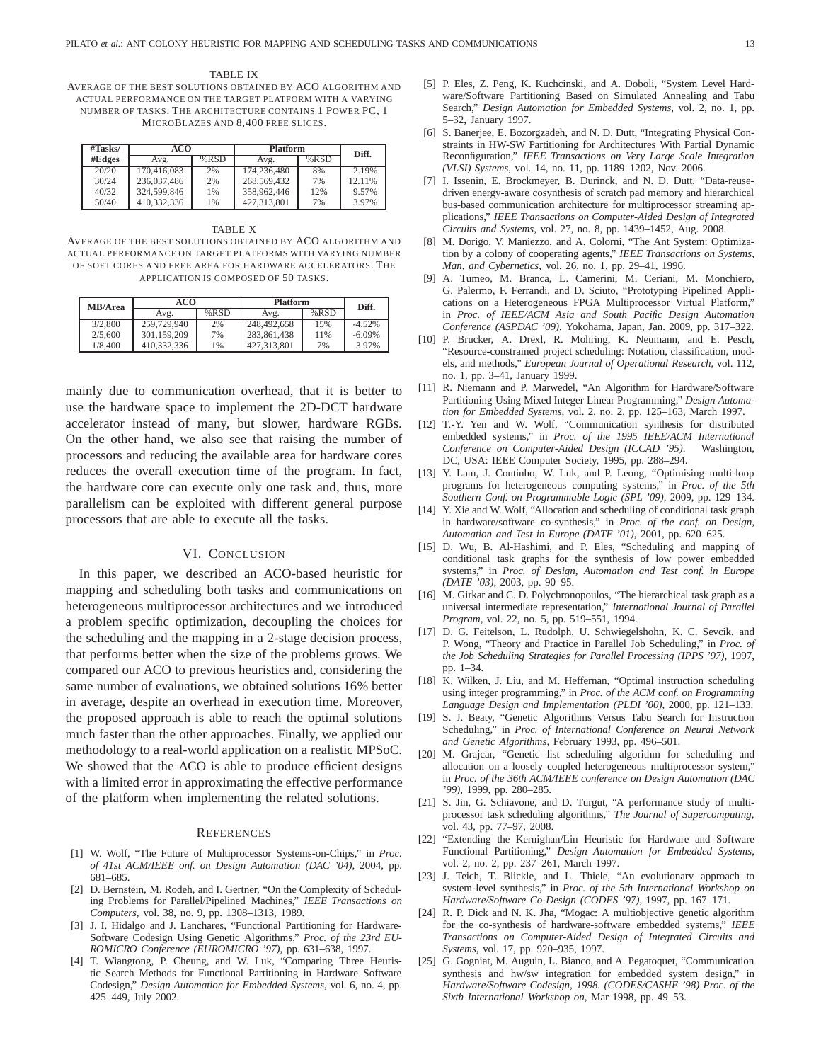TABLE IX

AVERAGE OF THE BEST SOLUTIONS OBTAINED BY ACO ALGORITHM AND ACTUAL PERFORMANCE ON THE TARGET PLATFORM WITH A VARYING NUMBER OF TASKS. THE ARCHITECTURE CONTAINS 1 POWER PC, 1 MICROBLAZES AND 8,400 FREE SLICES.

| $#T$ asks/ | ACO         |         | <b>Platform</b> | Diff.   |        |
|------------|-------------|---------|-----------------|---------|--------|
| #Edges     | Avg.        | $%$ RSD | Avg.            | $%$ RSD |        |
| 20/20      | 170.416.083 | 2%      | 174,236,480     | 8%      | 2.19%  |
| 30/24      | 236,037,486 | 2%      | 268,569,432     | 7%      | 12.11% |
| 40/32      | 324,599,846 | 1%      | 358,962,446     | 12%     | 9.57%  |
| 50/40      | 410.332.336 | 1%      | 427.313.801     | 7%      | 3.97%  |

#### TABLE X

AVERAGE OF THE BEST SOLUTIONS OBTAINED BY ACO ALGORITHM AND ACTUAL PERFORMANCE ON TARGET PLATFORMS WITH VARYING NUMBER OF SOFT CORES AND FREE AREA FOR HARDWARE ACCELERATORS. THE APPLICATION IS COMPOSED OF 50 TASKS.

| <b>MB/Area</b> | ACO         |         | <b>Platform</b> | Diff.   |          |
|----------------|-------------|---------|-----------------|---------|----------|
|                | Avg.        | $%$ RSD | Avg.            | $%$ RSD |          |
| 3/2,800        | 259,729,940 | 2%      | 248,492,658     | 15%     | $-4.52%$ |
| 2/5,600        | 301.159.209 | 7%      | 283,861,438     | 11%     | $-6.09%$ |
| 1/8,400        | 410.332.336 | 1%      | 427.313.801     | 7%      | 3.97%    |

mainly due to communication overhead, that it is better to use the hardware space to implement the 2D-DCT hardware accelerator instead of many, but slower, hardware RGBs. On the other hand, we also see that raising the number of processors and reducing the available area for hardware cores reduces the overall execution time of the program. In fact, the hardware core can execute only one task and, thus, more parallelism can be exploited with different general purpose processors that are able to execute all the tasks.

# VI. CONCLUSION

In this paper, we described an ACO-based heuristic for mapping and scheduling both tasks and communications on heterogeneous multiprocessor architectures and we introduced a problem specific optimization, decoupling the choices for the scheduling and the mapping in a 2-stage decision process, that performs better when the size of the problems grows. We compared our ACO to previous heuristics and, considering the same number of evaluations, we obtained solutions 16% better in average, despite an overhead in execution time. Moreover, the proposed approach is able to reach the optimal solutions much faster than the other approaches. Finally, we applied our methodology to a real-world application on a realistic MPSoC. We showed that the ACO is able to produce efficient designs with a limited error in approximating the effective performance of the platform when implementing the related solutions.

#### **REFERENCES**

- [1] W. Wolf, "The Future of Multiprocessor Systems-on-Chips," in *Proc. of 41st ACM/IEEE onf. on Design Automation (DAC '04)*, 2004, pp. 681–685.
- [2] D. Bernstein, M. Rodeh, and I. Gertner, "On the Complexity of Scheduling Problems for Parallel/Pipelined Machines," *IEEE Transactions on Computers*, vol. 38, no. 9, pp. 1308–1313, 1989.
- [3] J. I. Hidalgo and J. Lanchares, "Functional Partitioning for Hardware-Software Codesign Using Genetic Algorithms," *Proc. of the 23rd EU-ROMICRO Conference (EUROMICRO '97)*, pp. 631–638, 1997.
- [4] T. Wiangtong, P. Cheung, and W. Luk, "Comparing Three Heuristic Search Methods for Functional Partitioning in Hardware–Software Codesign," *Design Automation for Embedded Systems*, vol. 6, no. 4, pp. 425–449, July 2002.
- [5] P. Eles, Z. Peng, K. Kuchcinski, and A. Doboli, "System Level Hardware/Software Partitioning Based on Simulated Annealing and Tabu Search," *Design Automation for Embedded Systems*, vol. 2, no. 1, pp. 5–32, January 1997.
- [6] S. Banerjee, E. Bozorgzadeh, and N. D. Dutt, "Integrating Physical Constraints in HW-SW Partitioning for Architectures With Partial Dynamic Reconfiguration," *IEEE Transactions on Very Large Scale Integration (VLSI) Systems*, vol. 14, no. 11, pp. 1189–1202, Nov. 2006.
- [7] I. Issenin, E. Brockmeyer, B. Durinck, and N. D. Dutt, "Data-reusedriven energy-aware cosynthesis of scratch pad memory and hierarchical bus-based communication architecture for multiprocessor streaming applications," *IEEE Transactions on Computer-Aided Design of Integrated Circuits and Systems*, vol. 27, no. 8, pp. 1439–1452, Aug. 2008.
- [8] M. Dorigo, V. Maniezzo, and A. Colorni, "The Ant System: Optimization by a colony of cooperating agents," *IEEE Transactions on Systems, Man, and Cybernetics*, vol. 26, no. 1, pp. 29–41, 1996.
- [9] A. Tumeo, M. Branca, L. Camerini, M. Ceriani, M. Monchiero, G. Palermo, F. Ferrandi, and D. Sciuto, "Prototyping Pipelined Applications on a Heterogeneous FPGA Multiprocessor Virtual Platform," in *Proc. of IEEE/ACM Asia and South Pacific Design Automation Conference (ASPDAC '09)*, Yokohama, Japan, Jan. 2009, pp. 317–322.
- [10] P. Brucker, A. Drexl, R. Mohring, K. Neumann, and E. Pesch, "Resource-constrained project scheduling: Notation, classification, models, and methods," *European Journal of Operational Research*, vol. 112, no. 1, pp. 3–41, January 1999.
- [11] R. Niemann and P. Marwedel, "An Algorithm for Hardware/Software Partitioning Using Mixed Integer Linear Programming," *Design Automation for Embedded Systems*, vol. 2, no. 2, pp. 125–163, March 1997.
- [12] T.-Y. Yen and W. Wolf, "Communication synthesis for distributed embedded systems," in *Proc. of the 1995 IEEE/ACM International Conference on Computer-Aided Design (ICCAD '95)*. Washington, DC, USA: IEEE Computer Society, 1995, pp. 288–294.
- [13] Y. Lam, J. Coutinho, W. Luk, and P. Leong, "Optimising multi-loop programs for heterogeneous computing systems," in *Proc. of the 5th Southern Conf. on Programmable Logic (SPL '09)*, 2009, pp. 129–134.
- [14] Y. Xie and W. Wolf, "Allocation and scheduling of conditional task graph in hardware/software co-synthesis," in *Proc. of the conf. on Design, Automation and Test in Europe (DATE '01)*, 2001, pp. 620–625.
- [15] D. Wu, B. Al-Hashimi, and P. Eles, "Scheduling and mapping of conditional task graphs for the synthesis of low power embedded systems," in *Proc. of Design, Automation and Test conf. in Europe (DATE '03)*, 2003, pp. 90–95.
- [16] M. Girkar and C. D. Polychronopoulos, "The hierarchical task graph as a universal intermediate representation," *International Journal of Parallel Program*, vol. 22, no. 5, pp. 519–551, 1994.
- [17] D. G. Feitelson, L. Rudolph, U. Schwiegelshohn, K. C. Sevcik, and P. Wong, "Theory and Practice in Parallel Job Scheduling," in *Proc. of the Job Scheduling Strategies for Parallel Processing (IPPS '97)*, 1997, pp. 1–34.
- [18] K. Wilken, J. Liu, and M. Heffernan, "Optimal instruction scheduling using integer programming," in *Proc. of the ACM conf. on Programming Language Design and Implementation (PLDI '00)*, 2000, pp. 121–133.
- [19] S. J. Beaty, "Genetic Algorithms Versus Tabu Search for Instruction Scheduling," in *Proc. of International Conference on Neural Network and Genetic Algorithms*, February 1993, pp. 496–501.
- [20] M. Grajcar, "Genetic list scheduling algorithm for scheduling and allocation on a loosely coupled heterogeneous multiprocessor system," in *Proc. of the 36th ACM/IEEE conference on Design Automation (DAC '99)*, 1999, pp. 280–285.
- [21] S. Jin, G. Schiavone, and D. Turgut, "A performance study of multiprocessor task scheduling algorithms," *The Journal of Supercomputing*, vol. 43, pp. 77–97, 2008.
- [22] "Extending the Kernighan/Lin Heuristic for Hardware and Software Functional Partitioning," *Design Automation for Embedded Systems*, vol. 2, no. 2, pp. 237–261, March 1997.
- [23] J. Teich, T. Blickle, and L. Thiele, "An evolutionary approach to system-level synthesis," in *Proc. of the 5th International Workshop on Hardware/Software Co-Design (CODES '97)*, 1997, pp. 167–171.
- [24] R. P. Dick and N. K. Jha, "Mogac: A multiobjective genetic algorithm for the co-synthesis of hardware-software embedded systems," *IEEE Transactions on Computer-Aided Design of Integrated Circuits and Systems*, vol. 17, pp. 920–935, 1997.
- [25] G. Gogniat, M. Auguin, L. Bianco, and A. Pegatoquet, "Communication synthesis and hw/sw integration for embedded system design," in *Hardware/Software Codesign, 1998. (CODES/CASHE '98) Proc. of the Sixth International Workshop on*, Mar 1998, pp. 49–53.